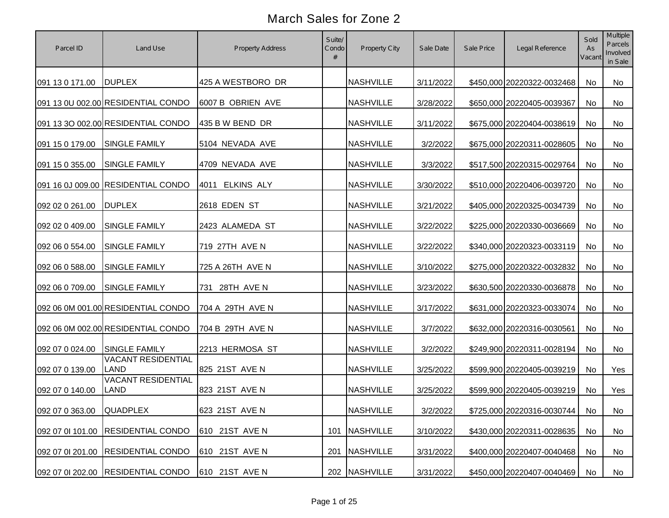| Parcel ID                | Land Use                                 | Property Address  | Suite/<br>Condo<br># | <b>Property City</b> | Sale Date | Sale Price | Legal Reference            | Sold<br>As<br>Vacant | Multiple<br>Parcels<br>Involved<br>in Sale |
|--------------------------|------------------------------------------|-------------------|----------------------|----------------------|-----------|------------|----------------------------|----------------------|--------------------------------------------|
| 091 13 0 171.00          | <b>DUPLEX</b>                            | 425 A WESTBORO DR |                      | <b>NASHVILLE</b>     | 3/11/2022 |            | \$450,000 20220322-0032468 | No                   | No                                         |
|                          | 091 13 0U 002.00 RESIDENTIAL CONDO       | 6007 B OBRIEN AVE |                      | <b>NASHVILLE</b>     | 3/28/2022 |            | \$650,000 20220405-0039367 | No                   | No                                         |
|                          | 091 13 3O 002.00 RESIDENTIAL CONDO       | 435 B W BEND DR   |                      | <b>NASHVILLE</b>     | 3/11/2022 |            | \$675,000 20220404-0038619 | No                   | No                                         |
| 091 15 0 179.00          | <b>SINGLE FAMILY</b>                     | 5104 NEVADA AVE   |                      | <b>NASHVILLE</b>     | 3/2/2022  |            | \$675,000 20220311-0028605 | No                   | No                                         |
| 091 15 0 355.00          | <b>SINGLE FAMILY</b>                     | 4709 NEVADA AVE   |                      | <b>NASHVILLE</b>     | 3/3/2022  |            | \$517,500 20220315-0029764 | No                   | No                                         |
|                          | 091 16 0J 009.00 RESIDENTIAL CONDO       | 4011 ELKINS ALY   |                      | <b>NASHVILLE</b>     | 3/30/2022 |            | \$510,000 20220406-0039720 | No                   | No                                         |
| 092 02 0 261.00          | <b>DUPLEX</b>                            | 2618 EDEN ST      |                      | <b>NASHVILLE</b>     | 3/21/2022 |            | \$405,000 20220325-0034739 | No                   | No                                         |
| 092 02 0 409.00          | <b>SINGLE FAMILY</b>                     | 2423 ALAMEDA ST   |                      | <b>NASHVILLE</b>     | 3/22/2022 |            | \$225,000 20220330-0036669 | No                   | No                                         |
| 092 06 0 554.00          | <b>SINGLE FAMILY</b>                     | 719 27TH AVE N    |                      | <b>NASHVILLE</b>     | 3/22/2022 |            | \$340,000 20220323-0033119 | No                   | No                                         |
| 092 06 0 588.00          | SINGLE FAMILY                            | 725 A 26TH AVE N  |                      | <b>NASHVILLE</b>     | 3/10/2022 |            | \$275,000 20220322-0032832 | No                   | No                                         |
| 092 06 0 709.00          | SINGLE FAMILY                            | 731 28TH AVE N    |                      | <b>NASHVILLE</b>     | 3/23/2022 |            | \$630,500 20220330-0036878 | No                   | No                                         |
|                          | 092 06 0M 001.00 RESIDENTIAL CONDO       | 704 A 29TH AVE N  |                      | <b>NASHVILLE</b>     | 3/17/2022 |            | \$631,000 20220323-0033074 | No                   | No                                         |
|                          | 092 06 0M 002.00 RESIDENTIAL CONDO       | 704 B 29TH AVE N  |                      | <b>NASHVILLE</b>     | 3/7/2022  |            | \$632,000 20220316-0030561 | No                   | No                                         |
| 092 07 0 024.00          | <b>SINGLE FAMILY</b>                     | 2213 HERMOSA ST   |                      | <b>NASHVILLE</b>     | 3/2/2022  |            | \$249,900 20220311-0028194 | No                   | <b>No</b>                                  |
| 092 07 0 139.00          | <b>VACANT RESIDENTIAL</b><br><b>LAND</b> | 825 21ST AVE N    |                      | <b>NASHVILLE</b>     | 3/25/2022 |            | \$599,900 20220405-0039219 | No                   | Yes                                        |
| 092 07 0 140.00          | <b>VACANT RESIDENTIAL</b><br><b>LAND</b> | 823 21ST AVE N    |                      | <b>NASHVILLE</b>     | 3/25/2022 |            | \$599,900 20220405-0039219 | No                   | Yes                                        |
| 092 07 0 363.00 QUADPLEX |                                          | 623 21ST AVE N    |                      | <b>NASHVILLE</b>     | 3/2/2022  |            | \$725,000 20220316-0030744 | No                   | No                                         |
|                          | 092 07 01 101.00 RESIDENTIAL CONDO       | 610 21ST AVE N    | 101                  | <b>NASHVILLE</b>     | 3/10/2022 |            | \$430,000 20220311-0028635 | No                   | No                                         |
| 092 07 01 201.00         | <b>RESIDENTIAL CONDO</b>                 | 610 21ST AVE N    | 201                  | <b>NASHVILLE</b>     | 3/31/2022 |            | \$400,000 20220407-0040468 | No                   | No                                         |
|                          | 092 07 01 202.00 RESIDENTIAL CONDO       | 610 21ST AVE N    |                      | 202 NASHVILLE        | 3/31/2022 |            | \$450,000 20220407-0040469 | No                   | No                                         |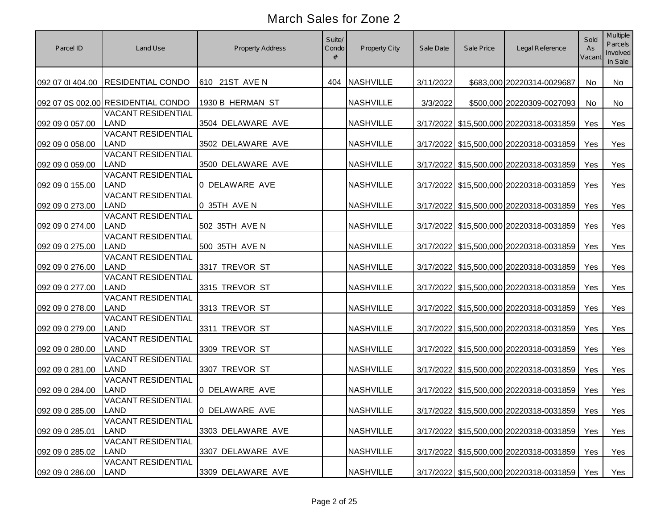| Parcel ID        | Land Use                                 | <b>Property Address</b> | Suite/<br>Condo | Property City    | Sale Date | Sale Price | Legal Reference                               | Sold<br>As<br>Vacant | Multiple<br><b>Parcels</b><br>Involved<br>in Sale |
|------------------|------------------------------------------|-------------------------|-----------------|------------------|-----------|------------|-----------------------------------------------|----------------------|---------------------------------------------------|
| 092 07 01 404.00 | <b>RESIDENTIAL CONDO</b>                 | 610 21ST AVE N          | 404             | <b>NASHVILLE</b> | 3/11/2022 |            | \$683,000 20220314-0029687                    | <b>No</b>            | No                                                |
|                  | 092 07 0S 002.00 RESIDENTIAL CONDO       | 1930 B HERMAN ST        |                 | <b>NASHVILLE</b> | 3/3/2022  |            | \$500,000 20220309-0027093                    | No                   | No                                                |
| 092 09 0 057.00  | <b>VACANT RESIDENTIAL</b><br><b>LAND</b> | 3504 DELAWARE AVE       |                 | <b>NASHVILLE</b> |           |            | 3/17/2022 \$15,500,000 20220318-0031859       | Yes                  | Yes                                               |
| 092 09 0 058.00  | <b>VACANT RESIDENTIAL</b><br><b>LAND</b> | 3502 DELAWARE AVE       |                 | <b>NASHVILLE</b> |           |            | 3/17/2022 \$15,500,000 20220318-0031859       | Yes                  | Yes                                               |
| 092 09 0 059.00  | <b>VACANT RESIDENTIAL</b><br><b>LAND</b> | 3500 DELAWARE AVE       |                 | <b>NASHVILLE</b> |           |            | 3/17/2022 \$15,500,000 20220318-0031859       | Yes                  | Yes                                               |
| 092 09 0 155.00  | <b>VACANT RESIDENTIAL</b><br><b>LAND</b> | 0 DELAWARE AVE          |                 | <b>NASHVILLE</b> |           |            | 3/17/2022 \$15,500,000 20220318-0031859       | Yes                  | Yes                                               |
| 092 09 0 273.00  | <b>VACANT RESIDENTIAL</b><br><b>LAND</b> | 0 35TH AVE N            |                 | <b>NASHVILLE</b> |           |            | 3/17/2022 \$15,500,000 20220318-0031859       | Yes                  | Yes                                               |
| 092 09 0 274.00  | <b>VACANT RESIDENTIAL</b><br><b>LAND</b> | 502 35TH AVE N          |                 | <b>NASHVILLE</b> |           |            | 3/17/2022 \$15,500,000 20220318-0031859       | Yes                  | Yes                                               |
| 092 09 0 275.00  | <b>VACANT RESIDENTIAL</b><br><b>LAND</b> | 500 35TH AVE N          |                 | <b>NASHVILLE</b> |           |            | 3/17/2022 \$15,500,000 20220318-0031859       | Yes                  | Yes                                               |
| 092 09 0 276.00  | <b>VACANT RESIDENTIAL</b><br><b>LAND</b> | 3317 TREVOR ST          |                 | <b>NASHVILLE</b> |           |            | 3/17/2022 \$15,500,000 20220318-0031859       | Yes                  | Yes                                               |
| 092 09 0 277.00  | <b>VACANT RESIDENTIAL</b><br><b>LAND</b> | 3315 TREVOR ST          |                 | <b>NASHVILLE</b> |           |            | 3/17/2022 \$15,500,000 20220318-0031859       | Yes                  | Yes                                               |
| 092 09 0 278.00  | <b>VACANT RESIDENTIAL</b><br><b>LAND</b> | 3313 TREVOR ST          |                 | <b>NASHVILLE</b> |           |            | 3/17/2022 \$15,500,000 20220318-0031859       | Yes                  | Yes                                               |
| 092 09 0 279.00  | <b>VACANT RESIDENTIAL</b><br><b>LAND</b> | 3311 TREVOR ST          |                 | <b>NASHVILLE</b> |           |            | 3/17/2022 \$15,500,000 20220318-0031859       | Yes                  | Yes                                               |
| 092 09 0 280.00  | <b>VACANT RESIDENTIAL</b><br><b>LAND</b> | 3309 TREVOR ST          |                 | <b>NASHVILLE</b> |           |            | 3/17/2022 \$15,500,000 20220318-0031859       | Yes                  | Yes                                               |
| 092 09 0 281.00  | <b>VACANT RESIDENTIAL</b><br><b>LAND</b> | 3307 TREVOR ST          |                 | <b>NASHVILLE</b> |           |            | 3/17/2022 \$15,500,000 20220318-0031859       | Yes                  | Yes                                               |
| 092 09 0 284.00  | <b>VACANT RESIDENTIAL</b><br><b>LAND</b> | 0 DELAWARE AVE          |                 | <b>NASHVILLE</b> |           |            | 3/17/2022 \$15,500,000 20220318-0031859       | Yes                  | Yes                                               |
| 092 09 0 285.00  | <b>VACANT RESIDENTIAL</b><br><b>LAND</b> | 0 DELAWARE AVE          |                 | <b>NASHVILLE</b> |           |            | 3/17/2022 \$15,500,000 20220318-0031859   Yes |                      | Yes                                               |
| 092 09 0 285.01  | <b>VACANT RESIDENTIAL</b><br>LAND        | 3303 DELAWARE AVE       |                 | <b>NASHVILLE</b> |           |            | 3/17/2022 \$15,500,000 20220318-0031859       | Yes                  | Yes                                               |
| 092 09 0 285.02  | <b>VACANT RESIDENTIAL</b><br>LAND        | 3307 DELAWARE AVE       |                 | <b>NASHVILLE</b> |           |            | 3/17/2022 \$15,500,000 20220318-0031859       | Yes                  | Yes                                               |
| 092 09 0 286.00  | <b>VACANT RESIDENTIAL</b><br>LAND        | 3309 DELAWARE AVE       |                 | <b>NASHVILLE</b> |           |            | 3/17/2022 \$15,500,000 20220318-0031859       | Yes                  | Yes                                               |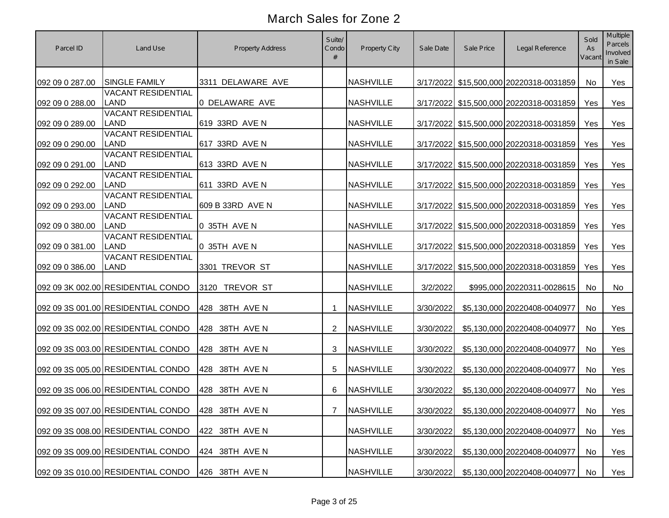| Parcel ID       | Land Use                                          | <b>Property Address</b> | Suite/<br>Condo | Property City    | Sale Date | Sale Price | Legal Reference                           | Sold<br>As<br>Vacant | <b>Multiple</b><br>Parcels<br>Involved<br>in Sale |
|-----------------|---------------------------------------------------|-------------------------|-----------------|------------------|-----------|------------|-------------------------------------------|----------------------|---------------------------------------------------|
| 092 09 0 287.00 | <b>SINGLE FAMILY</b>                              | 3311 DELAWARE AVE       |                 | <b>NASHVILLE</b> |           |            | 3/17/2022 \$15,500,000 20220318-0031859   | No                   | Yes                                               |
| 092 09 0 288.00 | <b>VACANT RESIDENTIAL</b><br><b>LAND</b>          | 0 DELAWARE AVE          |                 | <b>NASHVILLE</b> |           |            | 3/17/2022 \$15,500,000 20220318-0031859   | Yes                  | Yes                                               |
| 092 09 0 289.00 | <b>VACANT RESIDENTIAL</b><br><b>LAND</b>          | 619 33RD AVE N          |                 | <b>NASHVILLE</b> |           |            | 3/17/2022 \$15,500,000 20220318-0031859   | Yes                  | Yes                                               |
| 092 09 0 290.00 | <b>VACANT RESIDENTIAL</b><br><b>LAND</b>          | 617 33RD AVE N          |                 | <b>NASHVILLE</b> |           |            | 3/17/2022 \$15,500,000 20220318-0031859   | Yes                  | Yes                                               |
| 092 09 0 291.00 | <b>VACANT RESIDENTIAL</b><br>LAND                 | 613 33RD AVE N          |                 | <b>NASHVILLE</b> |           |            | 3/17/2022 \$15,500,000 20220318-0031859   | Yes                  | Yes                                               |
| 092 09 0 292.00 | <b>VACANT RESIDENTIAL</b><br>LAND                 | 611 33RD AVE N          |                 | <b>NASHVILLE</b> |           |            | 3/17/2022 \$15,500,000 20220318-0031859   | Yes                  | Yes                                               |
| 092 09 0 293.00 | <b>VACANT RESIDENTIAL</b><br><b>LAND</b>          | 609 B 33RD AVE N        |                 | <b>NASHVILLE</b> |           |            | 3/17/2022 \$15,500,000 20220318-0031859   | Yes                  | Yes                                               |
| 092 09 0 380.00 | <b>VACANT RESIDENTIAL</b><br><b>LAND</b>          | 0 35TH AVE N            |                 | <b>NASHVILLE</b> |           |            | 3/17/2022 \$15,500,000 20220318-0031859   | Yes                  | Yes                                               |
| 092 09 0 381.00 | <b>VACANT RESIDENTIAL</b><br><b>LAND</b>          | 0 35TH AVE N            |                 | <b>NASHVILLE</b> |           |            | 3/17/2022 \$15,500,000 20220318-0031859   | Yes                  | Yes                                               |
| 092 09 0 386.00 | <b>VACANT RESIDENTIAL</b><br><b>LAND</b>          | 3301 TREVOR ST          |                 | <b>NASHVILLE</b> |           |            | 3/17/2022 \$15,500,000 20220318-0031859   | Yes                  | Yes                                               |
|                 | 092 09 3K 002.00 RESIDENTIAL CONDO                | 3120 TREVOR ST          |                 | <b>NASHVILLE</b> | 3/2/2022  |            | \$995,000 20220311-0028615                | No                   | No                                                |
|                 | 092 09 3S 001.00 RESIDENTIAL CONDO                | 428 38TH AVE N          | -1              | <b>NASHVILLE</b> | 3/30/2022 |            | \$5,130,000 20220408-0040977              | <b>No</b>            | Yes                                               |
|                 | 092 09 3S 002.00 RESIDENTIAL CONDO                | 428 38TH AVE N          | 2               | <b>NASHVILLE</b> | 3/30/2022 |            | \$5,130,000 20220408-0040977              | <b>No</b>            | Yes                                               |
|                 | 092 09 3S 003.00 RESIDENTIAL CONDO                | 428 38TH AVE N          | 3               | <b>NASHVILLE</b> | 3/30/2022 |            | \$5,130,000 20220408-0040977              | <b>No</b>            | Yes                                               |
|                 | 092 09 3S 005.00 RESIDENTIAL CONDO                | 428 38TH AVE N          | 5               | <b>NASHVILLE</b> | 3/30/2022 |            | \$5,130,000 20220408-0040977              | <b>No</b>            | Yes                                               |
|                 | 092 09 3S 006.00 RESIDENTIAL CONDO                | 428 38TH AVE N          | 6               | <b>NASHVILLE</b> | 3/30/2022 |            | \$5,130,000 20220408-0040977              | <b>No</b>            | Yes                                               |
|                 | 092 09 3S 007.00 RESIDENTIAL CONDO 428 38TH AVE N |                         |                 | 7 NASHVILLE      |           |            | 3/30/2022 \$5,130,000 20220408-0040977 No |                      | Yes                                               |
|                 | 092 09 3S 008.00 RESIDENTIAL CONDO                | 422 38TH AVE N          |                 | <b>NASHVILLE</b> | 3/30/2022 |            | \$5,130,000 20220408-0040977              | No                   | Yes                                               |
|                 | 092 09 3S 009.00 RESIDENTIAL CONDO                | 424 38TH AVE N          |                 | <b>NASHVILLE</b> | 3/30/2022 |            | \$5,130,000 20220408-0040977              | No                   | Yes                                               |
|                 | 092 09 3S 010.00 RESIDENTIAL CONDO                | 426 38TH AVE N          |                 | <b>NASHVILLE</b> | 3/30/2022 |            | \$5,130,000 20220408-0040977              | No                   | Yes                                               |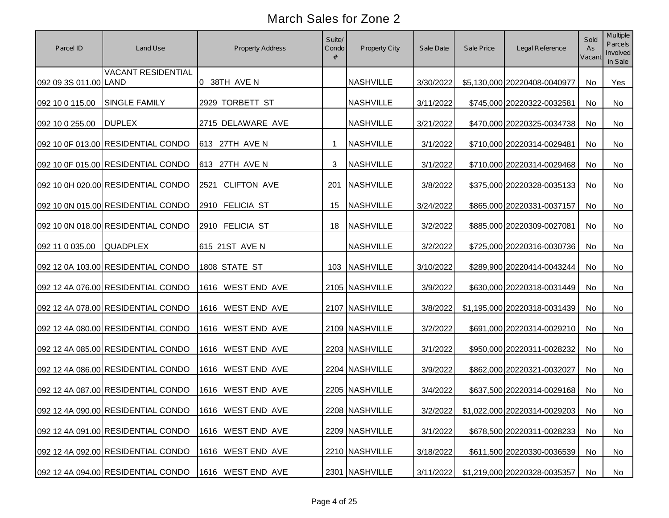| Parcel ID             | Land Use                                             | Property Address            | Suite/<br>Condo<br># | Property City    | Sale Date | Sale Price | Legal Reference                       | Sold<br>As<br>Vacant | Multiple<br>Parcels<br>Involved<br>in Sale |
|-----------------------|------------------------------------------------------|-----------------------------|----------------------|------------------|-----------|------------|---------------------------------------|----------------------|--------------------------------------------|
| 092 09 3S 011.00 LAND | <b>VACANT RESIDENTIAL</b>                            | 0 38TH AVE N                |                      | <b>NASHVILLE</b> | 3/30/2022 |            | \$5,130,000 20220408-0040977          | No                   | Yes                                        |
| 092 10 0 115.00       | <b>SINGLE FAMILY</b>                                 | 2929 TORBETT ST             |                      | <b>NASHVILLE</b> | 3/11/2022 |            | \$745,000 20220322-0032581            | No                   | No                                         |
| 092 10 0 255.00       | <b>DUPLEX</b>                                        | 2715 DELAWARE AVE           |                      | <b>NASHVILLE</b> | 3/21/2022 |            | \$470,000 20220325-0034738            | No                   | No                                         |
|                       | 092 10 0F 013.00 RESIDENTIAL CONDO                   | 613 27TH AVE N              | -1                   | <b>NASHVILLE</b> | 3/1/2022  |            | \$710,000 20220314-0029481            | No                   | No                                         |
|                       | 092 10 0F 015.00 RESIDENTIAL CONDO                   | 613 27TH AVE N              | 3                    | NASHVILLE        | 3/1/2022  |            | \$710,000 20220314-0029468            | No                   | No                                         |
|                       | 092 10 0H 020.00 RESIDENTIAL CONDO                   | <b>CLIFTON AVE</b><br>2521  | 201                  | <b>NASHVILLE</b> | 3/8/2022  |            | \$375,000 20220328-0035133            | No                   | No                                         |
|                       | 092 10 0N 015.00 RESIDENTIAL CONDO                   | 2910 FELICIA ST             | 15                   | <b>NASHVILLE</b> | 3/24/2022 |            | \$865,000 20220331-0037157            | No                   | No                                         |
|                       | 092 10 0N 018.00 RESIDENTIAL CONDO                   | 2910 FELICIA ST             | 18                   | <b>NASHVILLE</b> | 3/2/2022  |            | \$885,000 20220309-0027081            | No                   | No                                         |
| 092 11 0 035.00       | <b>QUADPLEX</b>                                      | 615 21ST AVE N              |                      | <b>NASHVILLE</b> | 3/2/2022  |            | \$725,000 20220316-0030736            | No                   | No                                         |
|                       | 092 12 0A 103.00 RESIDENTIAL CONDO                   | 1808 STATE ST               |                      | 103 NASHVILLE    | 3/10/2022 |            | \$289,900 20220414-0043244            | No                   | No                                         |
|                       | 092 12 4A 076.00 RESIDENTIAL CONDO                   | 1616 WEST END AVE           |                      | 2105 NASHVILLE   | 3/9/2022  |            | \$630,000 20220318-0031449            | No                   | No                                         |
|                       | 092 12 4A 078.00 RESIDENTIAL CONDO                   | <b>WEST END AVE</b><br>1616 |                      | 2107 NASHVILLE   | 3/8/2022  |            | \$1,195,000 20220318-0031439          | No                   | No                                         |
|                       | 092 12 4A 080.00 RESIDENTIAL CONDO                   | 1616 WEST END AVE           |                      | 2109 NASHVILLE   | 3/2/2022  |            | \$691,000 20220314-0029210            | No                   | No                                         |
|                       | 092 12 4A 085.00 RESIDENTIAL CONDO                   | 1616 WEST END AVE           |                      | 2203 NASHVILLE   | 3/1/2022  |            | \$950,000 20220311-0028232            | No                   | No                                         |
|                       | 092 12 4A 086.00 RESIDENTIAL CONDO                   | 1616 WEST END AVE           |                      | 2204 NASHVILLE   | 3/9/2022  |            | \$862,000 20220321-0032027            | No                   | No                                         |
|                       | 092 12 4A 087.00 RESIDENTIAL CONDO                   | 1616 WEST END AVE           |                      | 2205 NASHVILLE   | 3/4/2022  |            | \$637,500 20220314-0029168            | No                   | No                                         |
|                       | 092 12 4A 090.00 RESIDENTIAL CONDO 1616 WEST END AVE |                             |                      | 2208 NASHVILLE   |           |            | 3/2/2022 \$1,022,000 20220314-0029203 | No                   | No                                         |
|                       | 092 12 4A 091.00 RESIDENTIAL CONDO                   | 1616 WEST END AVE           |                      | 2209 NASHVILLE   | 3/1/2022  |            | \$678,500 20220311-0028233            | No                   | No                                         |
|                       | 092 12 4A 092.00 RESIDENTIAL CONDO                   | 1616 WEST END AVE           |                      | 2210 NASHVILLE   | 3/18/2022 |            | \$611,500 20220330-0036539            | No                   | No                                         |
|                       | 092 12 4A 094.00 RESIDENTIAL CONDO                   | 1616 WEST END AVE           |                      | 2301 NASHVILLE   | 3/11/2022 |            | \$1,219,000 20220328-0035357          | No                   | No                                         |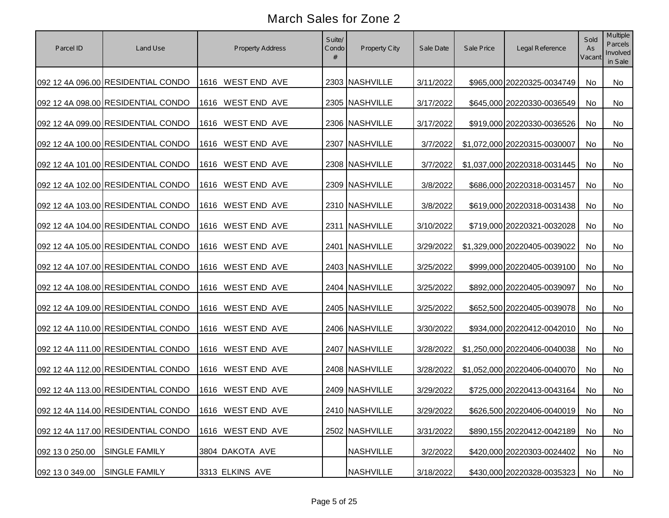| Parcel ID       | Land Use                                             | Property Address            | Suite/<br>Condo<br># | Property City    | Sale Date | Sale Price | Legal Reference               | Sold<br>As<br>Vacant | Multiple<br>Parcels<br>Involved<br>in Sale |
|-----------------|------------------------------------------------------|-----------------------------|----------------------|------------------|-----------|------------|-------------------------------|----------------------|--------------------------------------------|
|                 | 092 12 4A 096.00 RESIDENTIAL CONDO                   | 1616 WEST END AVE           |                      | 2303 NASHVILLE   | 3/11/2022 |            | \$965,000 20220325-0034749    | No                   | No                                         |
|                 | 092 12 4A 098.00 RESIDENTIAL CONDO                   | 1616 WEST END AVE           |                      | 2305 NASHVILLE   | 3/17/2022 |            | \$645,000 20220330-0036549    | No                   | No                                         |
|                 | 092 12 4A 099.00 RESIDENTIAL CONDO                   | 1616 WEST END AVE           |                      | 2306 NASHVILLE   | 3/17/2022 |            | \$919,000 20220330-0036526    | No                   | No                                         |
|                 | 092 12 4A 100.00 RESIDENTIAL CONDO                   | 1616 WEST END AVE           |                      | 2307 NASHVILLE   | 3/7/2022  |            | \$1,072,000 20220315-0030007  | No                   | No                                         |
|                 | 092 12 4A 101.00 RESIDENTIAL CONDO                   | 1616 WEST END AVE           |                      | 2308 NASHVILLE   | 3/7/2022  |            | \$1,037,000 20220318-0031445  | No                   | No                                         |
|                 | 092 12 4A 102.00 RESIDENTIAL CONDO                   | 1616 WEST END AVE           |                      | 2309 NASHVILLE   | 3/8/2022  |            | \$686,000 20220318-0031457    | No                   | No                                         |
|                 | 092 12 4A 103.00 RESIDENTIAL CONDO                   | 1616 WEST END AVE           |                      | 2310 NASHVILLE   | 3/8/2022  |            | \$619,000 20220318-0031438    | No                   | No                                         |
|                 | 092 12 4A 104.00 RESIDENTIAL CONDO                   | 1616 WEST END AVE           |                      | 2311 NASHVILLE   | 3/10/2022 |            | \$719,000 20220321-0032028    | No                   | No                                         |
|                 | 092 12 4A 105.00 RESIDENTIAL CONDO                   | 1616 WEST END AVE           |                      | 2401 NASHVILLE   | 3/29/2022 |            | \$1,329,000 20220405-0039022  | No                   | No                                         |
|                 | 092 12 4A 107.00 RESIDENTIAL CONDO                   | 1616 WEST END AVE           |                      | 2403 NASHVILLE   | 3/25/2022 |            | \$999,000 20220405-0039100    | No                   | No                                         |
|                 | 092 12 4A 108.00 RESIDENTIAL CONDO                   | <b>WEST END AVE</b><br>1616 |                      | 2404 NASHVILLE   | 3/25/2022 |            | \$892,000 20220405-0039097    | No                   | No                                         |
|                 | 092 12 4A 109.00 RESIDENTIAL CONDO                   | <b>WEST END AVE</b><br>1616 |                      | 2405 NASHVILLE   | 3/25/2022 |            | \$652,500 20220405-0039078    | No                   | No                                         |
|                 | 092 12 4A 110.00 RESIDENTIAL CONDO                   | 1616 WEST END AVE           |                      | 2406 NASHVILLE   | 3/30/2022 |            | \$934,000 20220412-0042010    | No                   | No                                         |
|                 | 092 12 4A 111.00 RESIDENTIAL CONDO                   | 1616 WEST END AVE           |                      | 2407 NASHVILLE   | 3/28/2022 |            | \$1,250,000 20220406-0040038  | No                   | No                                         |
|                 | 092 12 4A 112.00 RESIDENTIAL CONDO                   | 1616 WEST END AVE           |                      | 2408 NASHVILLE   | 3/28/2022 |            | \$1,052,000 20220406-0040070  | No                   | No                                         |
|                 | 092 12 4A 113.00 RESIDENTIAL CONDO                   | 1616 WEST END AVE           |                      | 2409 NASHVILLE   | 3/29/2022 |            | \$725,000 20220413-0043164    | No                   | No                                         |
|                 | 092 12 4A 114.00 RESIDENTIAL CONDO 1616 WEST END AVE |                             |                      | 2410 NASHVILLE   | 3/29/2022 |            | \$626,500 20220406-0040019 No |                      | No                                         |
|                 | 092 12 4A 117.00 RESIDENTIAL CONDO                   | 1616 WEST END AVE           |                      | 2502 NASHVILLE   | 3/31/2022 |            | \$890,155 20220412-0042189    | No                   | No                                         |
| 092 13 0 250.00 | <b>SINGLE FAMILY</b>                                 | 3804 DAKOTA AVE             |                      | <b>NASHVILLE</b> | 3/2/2022  |            | \$420,000 20220303-0024402    | No                   | No                                         |
| 092 13 0 349.00 | <b>SINGLE FAMILY</b>                                 | 3313 ELKINS AVE             |                      | <b>NASHVILLE</b> | 3/18/2022 |            | \$430,000 20220328-0035323    | No                   | No                                         |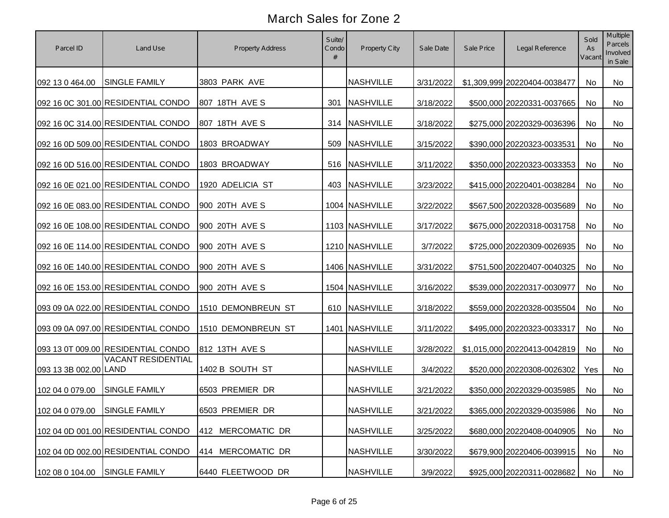| Parcel ID                     | Land Use                           | Property Address   | Suite/<br>Condo<br># | Property City    | Sale Date | Sale Price | Legal Reference               | Sold<br>As<br>Vacant | Multiple<br>Parcels<br>Involved<br>in Sale |
|-------------------------------|------------------------------------|--------------------|----------------------|------------------|-----------|------------|-------------------------------|----------------------|--------------------------------------------|
| 092 13 0 464.00               | <b>SINGLE FAMILY</b>               | 3803 PARK AVE      |                      | <b>NASHVILLE</b> | 3/31/2022 |            | \$1,309,999 20220404-0038477  | No                   | No                                         |
|                               | 092 16 0C 301.00 RESIDENTIAL CONDO | 807 18TH AVE S     |                      | 301 NASHVILLE    | 3/18/2022 |            | \$500,000 20220331-0037665    | No                   | No                                         |
|                               | 092 16 0C 314.00 RESIDENTIAL CONDO | 807 18TH AVE S     |                      | 314 NASHVILLE    | 3/18/2022 |            | \$275,000 20220329-0036396    | No                   | No                                         |
|                               | 092 16 0D 509.00 RESIDENTIAL CONDO | 1803 BROADWAY      |                      | 509 NASHVILLE    | 3/15/2022 |            | \$390,000 20220323-0033531    | No                   | No                                         |
|                               | 092 16 0D 516.00 RESIDENTIAL CONDO | 1803 BROADWAY      |                      | 516 NASHVILLE    | 3/11/2022 |            | \$350,000 20220323-0033353    | No                   | No                                         |
|                               | 092 16 0E 021.00 RESIDENTIAL CONDO | 1920 ADELICIA ST   |                      | 403 NASHVILLE    | 3/23/2022 |            | \$415,000 20220401-0038284    | No                   | No                                         |
|                               | 092 16 0E 083.00 RESIDENTIAL CONDO | 900 20TH AVE S     |                      | 1004 NASHVILLE   | 3/22/2022 |            | \$567,500 20220328-0035689    | No                   | No                                         |
|                               | 092 16 0E 108.00 RESIDENTIAL CONDO | 900 20TH AVE S     |                      | 1103 NASHVILLE   | 3/17/2022 |            | \$675,000 20220318-0031758    | No                   | No                                         |
|                               | 092 16 0E 114.00 RESIDENTIAL CONDO | 900 20TH AVE S     |                      | 1210 NASHVILLE   | 3/7/2022  |            | \$725,000 20220309-0026935    | No                   | No                                         |
|                               | 092 16 0E 140.00 RESIDENTIAL CONDO | 900 20TH AVE S     |                      | 1406 NASHVILLE   | 3/31/2022 |            | \$751,500 20220407-0040325    | No                   | No                                         |
|                               | 092 16 0E 153.00 RESIDENTIAL CONDO | 900 20TH AVE S     |                      | 1504 NASHVILLE   | 3/16/2022 |            | \$539,000 20220317-0030977    | No                   | No                                         |
|                               | 093 09 0A 022.00 RESIDENTIAL CONDO | 1510 DEMONBREUN ST |                      | 610 NASHVILLE    | 3/18/2022 |            | \$559,000 20220328-0035504    | No                   | No                                         |
|                               | 093 09 0A 097.00 RESIDENTIAL CONDO | 1510 DEMONBREUN ST |                      | 1401 NASHVILLE   | 3/11/2022 |            | \$495,000 20220323-0033317    | No                   | No                                         |
|                               | 093 13 0T 009.00 RESIDENTIAL CONDO | 812 13TH AVE S     |                      | <b>NASHVILLE</b> | 3/28/2022 |            | \$1,015,000 20220413-0042819  | No                   | No                                         |
| 093 13 3B 002.00 LAND         | <b>VACANT RESIDENTIAL</b>          | 1402 B SOUTH ST    |                      | <b>NASHVILLE</b> | 3/4/2022  |            | \$520,000 20220308-0026302    | Yes                  | No                                         |
| 102 04 0 079.00               | <b>SINGLE FAMILY</b>               | 6503 PREMIER DR    |                      | <b>NASHVILLE</b> | 3/21/2022 |            | \$350,000 20220329-0035985    | No                   | No                                         |
| 102 04 0 079.00 SINGLE FAMILY |                                    | 6503 PREMIER DR    |                      | <b>NASHVILLE</b> | 3/21/2022 |            | \$365,000 20220329-0035986 No |                      | No                                         |
|                               | 102 04 0D 001.00 RESIDENTIAL CONDO | 412 MERCOMATIC DR  |                      | <b>NASHVILLE</b> | 3/25/2022 |            | \$680,000 20220408-0040905    | No                   | No                                         |
|                               | 102 04 0D 002.00 RESIDENTIAL CONDO | 414 MERCOMATIC DR  |                      | <b>NASHVILLE</b> | 3/30/2022 |            | \$679,900 20220406-0039915    | No                   | No                                         |
| 102 08 0 104.00               | <b>SINGLE FAMILY</b>               | 6440 FLEETWOOD DR  |                      | <b>NASHVILLE</b> | 3/9/2022  |            | \$925,000 20220311-0028682    | No                   | No                                         |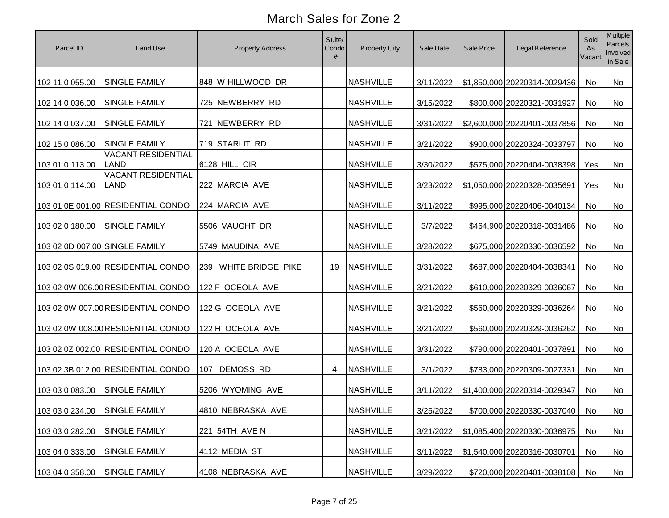| Parcel ID                      | Land Use                                 | Property Address      | Suite/<br>Condo<br># | Property City    | Sale Date | Sale Price | Legal Reference               | Sold<br>As<br>Vacant | Multiple<br>Parcels<br>Involved<br>in Sale |
|--------------------------------|------------------------------------------|-----------------------|----------------------|------------------|-----------|------------|-------------------------------|----------------------|--------------------------------------------|
| 102 11 0 055.00                | <b>SINGLE FAMILY</b>                     | 848 W HILLWOOD DR     |                      | <b>NASHVILLE</b> | 3/11/2022 |            | \$1,850,000 20220314-0029436  | No                   | No                                         |
| 102 14 0 036.00                | <b>SINGLE FAMILY</b>                     | 725 NEWBERRY RD       |                      | <b>NASHVILLE</b> | 3/15/2022 |            | \$800,000 20220321-0031927    | No                   | No                                         |
| 102 14 0 037.00                | <b>SINGLE FAMILY</b>                     | 721 NEWBERRY RD       |                      | <b>NASHVILLE</b> | 3/31/2022 |            | \$2,600,000 20220401-0037856  | No                   | No                                         |
| 102 15 0 086.00                | <b>SINGLE FAMILY</b>                     | 719 STARLIT RD        |                      | <b>NASHVILLE</b> | 3/21/2022 |            | \$900,000 20220324-0033797    | No                   | No                                         |
| 103 01 0 113.00                | <b>VACANT RESIDENTIAL</b><br><b>LAND</b> | 6128 HILL CIR         |                      | <b>NASHVILLE</b> | 3/30/2022 |            | \$575,000 20220404-0038398    | Yes                  | No                                         |
| 103 01 0 114.00                | <b>VACANT RESIDENTIAL</b><br><b>LAND</b> | 222 MARCIA AVE        |                      | <b>NASHVILLE</b> | 3/23/2022 |            | \$1,050,000 20220328-0035691  | Yes                  | No                                         |
|                                | 103 01 0E 001.00 RESIDENTIAL CONDO       | 224 MARCIA AVE        |                      | <b>NASHVILLE</b> | 3/11/2022 |            | \$995,000 20220406-0040134    | No                   | No                                         |
| 103 02 0 180.00                | <b>SINGLE FAMILY</b>                     | 5506 VAUGHT DR        |                      | <b>NASHVILLE</b> | 3/7/2022  |            | \$464,900 20220318-0031486    | No                   | No                                         |
| 103 02 0D 007.00 SINGLE FAMILY |                                          | 5749 MAUDINA AVE      |                      | <b>NASHVILLE</b> | 3/28/2022 |            | \$675,000 20220330-0036592    | No                   | No                                         |
|                                | 103 02 0S 019.00 RESIDENTIAL CONDO       | 239 WHITE BRIDGE PIKE | 19                   | <b>NASHVILLE</b> | 3/31/2022 |            | \$687,000 20220404-0038341    | No                   | No                                         |
|                                | 103 02 0W 006.00 RESIDENTIAL CONDO       | 122 F OCEOLA AVE      |                      | <b>NASHVILLE</b> | 3/21/2022 |            | \$610,000 20220329-0036067    | No                   | <b>No</b>                                  |
|                                | 103 02 0W 007.00 RESIDENTIAL CONDO       | 122 G OCEOLA AVE      |                      | <b>NASHVILLE</b> | 3/21/2022 |            | \$560,000 20220329-0036264    | No                   | No                                         |
|                                | 103 02 0W 008.00 RESIDENTIAL CONDO       | 122 H OCEOLA AVE      |                      | <b>NASHVILLE</b> | 3/21/2022 |            | \$560,000 20220329-0036262    | No                   | No                                         |
|                                | 103 02 0Z 002.00 RESIDENTIAL CONDO       | 120 A OCEOLA AVE      |                      | <b>NASHVILLE</b> | 3/31/2022 |            | \$790,000 20220401-0037891    | <b>No</b>            | <b>No</b>                                  |
|                                | 103 02 3B 012.00 RESIDENTIAL CONDO       | 107 DEMOSS RD         | 4                    | <b>NASHVILLE</b> | 3/1/2022  |            | \$783,000 20220309-0027331    | No                   | No                                         |
| 103 03 0 083.00                | <b>SINGLE FAMILY</b>                     | 5206 WYOMING AVE      |                      | <b>NASHVILLE</b> | 3/11/2022 |            | \$1,400,000 20220314-0029347  | <b>No</b>            | No                                         |
| 103 03 0 234.00 SINGLE FAMILY  |                                          | 4810 NEBRASKA AVE     |                      | <b>NASHVILLE</b> | 3/25/2022 |            | \$700,000 20220330-0037040 No |                      | No                                         |
| 103 03 0 282.00                | <b>SINGLE FAMILY</b>                     | 221 54TH AVE N        |                      | <b>NASHVILLE</b> | 3/21/2022 |            | \$1,085,400 20220330-0036975  | No                   | No                                         |
| 103 04 0 333.00                | <b>SINGLE FAMILY</b>                     | 4112 MEDIA ST         |                      | <b>NASHVILLE</b> | 3/11/2022 |            | \$1,540,000 20220316-0030701  | No                   | No                                         |
| 103 04 0 358.00                | <b>SINGLE FAMILY</b>                     | 4108 NEBRASKA AVE     |                      | <b>NASHVILLE</b> | 3/29/2022 |            | \$720,000 20220401-0038108    | No                   | No                                         |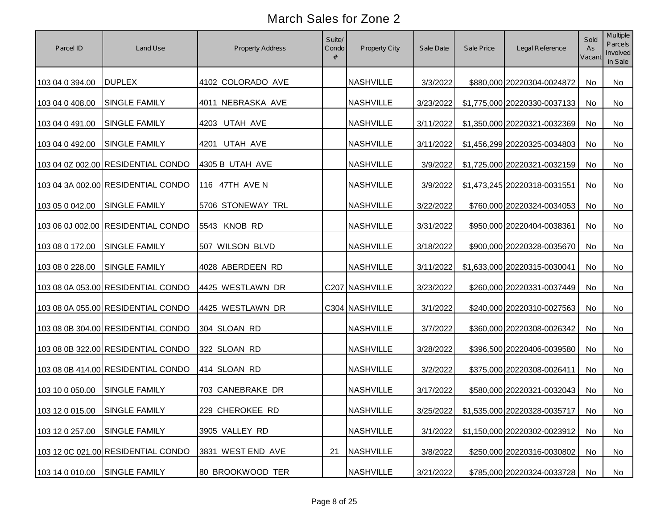| Parcel ID                     | Land Use                           | Property Address  | Suite/<br>Condo<br># | Property City    | Sale Date | Sale Price | Legal Reference                           | Sold<br>As<br>Vacant | Multiple<br>Parcels<br>Involved<br>in Sale |
|-------------------------------|------------------------------------|-------------------|----------------------|------------------|-----------|------------|-------------------------------------------|----------------------|--------------------------------------------|
| 103 04 0 394.00               | <b>DUPLEX</b>                      | 4102 COLORADO AVE |                      | <b>NASHVILLE</b> | 3/3/2022  |            | \$880,000 20220304-0024872                | No                   | No                                         |
| 103 04 0 408.00               | SINGLE FAMILY                      | 4011 NEBRASKA AVE |                      | <b>NASHVILLE</b> | 3/23/2022 |            | \$1,775,000 20220330-0037133              | No                   | No                                         |
| 103 04 0 491.00               | <b>SINGLE FAMILY</b>               | 4203 UTAH AVE     |                      | <b>NASHVILLE</b> | 3/11/2022 |            | \$1,350,000 20220321-0032369              | No                   | No                                         |
| 103 04 0 492.00               | <b>SINGLE FAMILY</b>               | 4201 UTAH AVE     |                      | <b>NASHVILLE</b> | 3/11/2022 |            | \$1,456,299 20220325-0034803              | No                   | No                                         |
|                               | 103 04 0Z 002.00 RESIDENTIAL CONDO | 4305 B UTAH AVE   |                      | <b>NASHVILLE</b> | 3/9/2022  |            | \$1,725,000 20220321-0032159              | No                   | No                                         |
|                               | 103 04 3A 002.00 RESIDENTIAL CONDO | 116 47TH AVE N    |                      | <b>NASHVILLE</b> | 3/9/2022  |            | \$1,473,245 20220318-0031551              | No                   | No                                         |
| 103 05 0 042.00               | <b>SINGLE FAMILY</b>               | 5706 STONEWAY TRL |                      | <b>NASHVILLE</b> | 3/22/2022 |            | \$760,000 20220324-0034053                | No                   | No                                         |
|                               | 103 06 0J 002.00 RESIDENTIAL CONDO | 5543 KNOB RD      |                      | <b>NASHVILLE</b> | 3/31/2022 |            | \$950,000 20220404-0038361                | No                   | No                                         |
| 103 08 0 172.00               | SINGLE FAMILY                      | 507 WILSON BLVD   |                      | <b>NASHVILLE</b> | 3/18/2022 |            | \$900,000 20220328-0035670                | No                   | No                                         |
| 103 08 0 228.00               | <b>SINGLE FAMILY</b>               | 4028 ABERDEEN RD  |                      | <b>NASHVILLE</b> | 3/11/2022 |            | \$1,633,000 20220315-0030041              | No                   | No                                         |
|                               | 103 08 0A 053.00 RESIDENTIAL CONDO | 4425 WESTLAWN DR  |                      | C207 NASHVILLE   | 3/23/2022 |            | \$260,000 20220331-0037449                | No                   | No                                         |
|                               | 103 08 0A 055.00 RESIDENTIAL CONDO | 4425 WESTLAWN DR  |                      | C304 NASHVILLE   | 3/1/2022  |            | \$240,000 20220310-0027563                | No                   | No                                         |
|                               | 103 08 0B 304.00 RESIDENTIAL CONDO | 304 SLOAN RD      |                      | <b>NASHVILLE</b> | 3/7/2022  |            | \$360,000 20220308-0026342                | No                   | No                                         |
|                               | 103 08 0B 322.00 RESIDENTIAL CONDO | 322 SLOAN RD      |                      | <b>NASHVILLE</b> | 3/28/2022 |            | \$396,500 20220406-0039580                | <b>No</b>            | <b>No</b>                                  |
|                               | 103 08 0B 414.00 RESIDENTIAL CONDO | 414 SLOAN RD      |                      | <b>NASHVILLE</b> | 3/2/2022  |            | \$375,000 20220308-0026411                | No                   | No                                         |
| 103 10 0 050.00               | <b>SINGLE FAMILY</b>               | 703 CANEBRAKE DR  |                      | <b>NASHVILLE</b> | 3/17/2022 |            | \$580,000 20220321-0032043                | No                   | No                                         |
| 103 12 0 015.00 SINGLE FAMILY |                                    | 229 CHEROKEE RD   |                      | <b>NASHVILLE</b> |           |            | 3/25/2022 \$1,535,000 20220328-0035717 No |                      | No                                         |
| 103 12 0 257.00               | <b>SINGLE FAMILY</b>               | 3905 VALLEY RD    |                      | <b>NASHVILLE</b> | 3/1/2022  |            | \$1,150,000 20220302-0023912              | No                   | No                                         |
|                               | 103 12 0C 021.00 RESIDENTIAL CONDO | 3831 WEST END AVE | 21                   | <b>NASHVILLE</b> | 3/8/2022  |            | \$250,000 20220316-0030802                | No                   | No                                         |
| 103 14 0 010.00               | <b>SINGLE FAMILY</b>               | 80 BROOKWOOD TER  |                      | <b>NASHVILLE</b> | 3/21/2022 |            | \$785,000 20220324-0033728                | No                   | No                                         |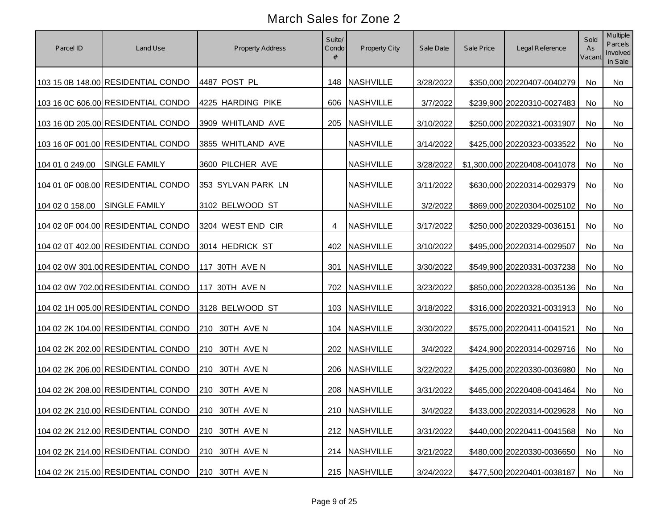| Parcel ID       | Land Use                           | Property Address   | Suite/<br>Condo<br># | Property City    | Sale Date | Sale Price | Legal Reference              | Sold<br>As<br>Vacant | Multiple<br>Parcels<br>Involved<br>in Sale |
|-----------------|------------------------------------|--------------------|----------------------|------------------|-----------|------------|------------------------------|----------------------|--------------------------------------------|
|                 | 103 15 0B 148.00 RESIDENTIAL CONDO | 4487 POST PL       |                      | 148 NASHVILLE    | 3/28/2022 |            | \$350,000 20220407-0040279   | No                   | No                                         |
|                 | 103 16 0C 606.00 RESIDENTIAL CONDO | 4225 HARDING PIKE  |                      | 606 NASHVILLE    | 3/7/2022  |            | \$239,900 20220310-0027483   | No                   | No                                         |
|                 | 103 16 0D 205.00 RESIDENTIAL CONDO | 3909 WHITLAND AVE  |                      | 205 NASHVILLE    | 3/10/2022 |            | \$250,000 20220321-0031907   | No                   | No                                         |
|                 | 103 16 0F 001.00 RESIDENTIAL CONDO | 3855 WHITLAND AVE  |                      | <b>NASHVILLE</b> | 3/14/2022 |            | \$425,000 20220323-0033522   | No                   | No                                         |
| 104 01 0 249.00 | <b>SINGLE FAMILY</b>               | 3600 PILCHER AVE   |                      | <b>NASHVILLE</b> | 3/28/2022 |            | \$1,300,000 20220408-0041078 | No                   | No                                         |
|                 | 104 01 0F 008.00 RESIDENTIAL CONDO | 353 SYLVAN PARK LN |                      | <b>NASHVILLE</b> | 3/11/2022 |            | \$630,000 20220314-0029379   | No                   | No                                         |
| 104 02 0 158.00 | <b>SINGLE FAMILY</b>               | 3102 BELWOOD ST    |                      | <b>NASHVILLE</b> | 3/2/2022  |            | \$869,000 20220304-0025102   | No                   | No                                         |
|                 | 104 02 0F 004.00 RESIDENTIAL CONDO | 3204 WEST END CIR  | 4                    | <b>NASHVILLE</b> | 3/17/2022 |            | \$250,000 20220329-0036151   | No                   | No                                         |
|                 | 104 02 0T 402.00 RESIDENTIAL CONDO | 3014 HEDRICK ST    |                      | 402 NASHVILLE    | 3/10/2022 |            | \$495,000 20220314-0029507   | No                   | No                                         |
|                 | 104 02 0W 301.00 RESIDENTIAL CONDO | 117 30TH AVE N     | 301                  | <b>NASHVILLE</b> | 3/30/2022 |            | \$549,900 20220331-0037238   | No                   | No                                         |
|                 | 104 02 0W 702.00 RESIDENTIAL CONDO | 117 30TH AVE N     |                      | 702 NASHVILLE    | 3/23/2022 |            | \$850,000 20220328-0035136   | No                   | No                                         |
|                 | 104 02 1H 005.00 RESIDENTIAL CONDO | 3128 BELWOOD ST    |                      | 103 NASHVILLE    | 3/18/2022 |            | \$316,000 20220321-0031913   | No                   | No                                         |
|                 | 104 02 2K 104.00 RESIDENTIAL CONDO | 210 30TH AVE N     |                      | 104 NASHVILLE    | 3/30/2022 |            | \$575,000 20220411-0041521   | No                   | No                                         |
|                 | 104 02 2K 202.00 RESIDENTIAL CONDO | 210 30TH AVE N     |                      | 202 NASHVILLE    | 3/4/2022  |            | \$424,900 20220314-0029716   | No                   | <b>No</b>                                  |
|                 | 104 02 2K 206.00 RESIDENTIAL CONDO | 210 30TH AVE N     |                      | 206 NASHVILLE    | 3/22/2022 |            | \$425,000 20220330-0036980   | No                   | No                                         |
|                 | 104 02 2K 208.00 RESIDENTIAL CONDO | 210 30TH AVE N     |                      | 208 NASHVILLE    | 3/31/2022 |            | \$465,000 20220408-0041464   | No                   | No                                         |
|                 | 104 02 2K 210.00 RESIDENTIAL CONDO | 210 30TH AVE N     |                      | 210 NASHVILLE    | 3/4/2022  |            | \$433,000 20220314-0029628   | No                   | No                                         |
|                 | 104 02 2K 212.00 RESIDENTIAL CONDO | 210 30TH AVE N     |                      | 212 NASHVILLE    | 3/31/2022 |            | \$440,000 20220411-0041568   | No                   | No                                         |
|                 | 104 02 2K 214.00 RESIDENTIAL CONDO | 210 30TH AVE N     |                      | 214 NASHVILLE    | 3/21/2022 |            | \$480,000 20220330-0036650   | No                   | No                                         |
|                 | 104 02 2K 215.00 RESIDENTIAL CONDO | 210 30TH AVE N     |                      | 215 NASHVILLE    | 3/24/2022 |            | \$477,500 20220401-0038187   | No                   | No                                         |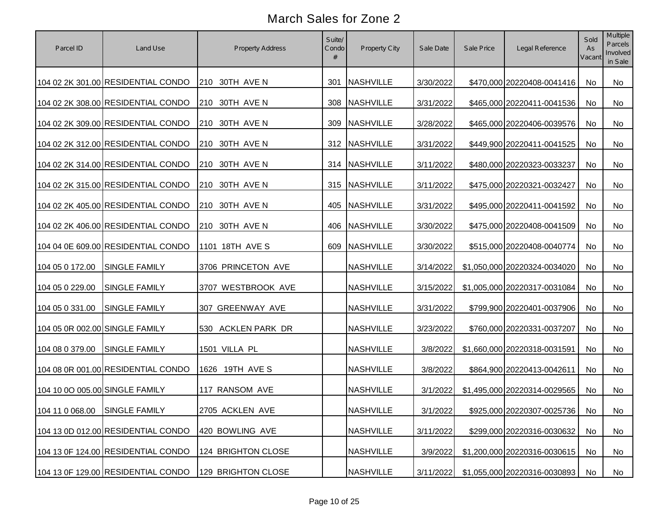| Parcel ID                      | Land Use                           | <b>Property Address</b> | Suite/<br>Condo<br># | Property City    | Sale Date | Sale Price | Legal Reference               | Sold<br>As<br>Vacant | Multiple<br>Parcels<br>Involved<br>in Sale |
|--------------------------------|------------------------------------|-------------------------|----------------------|------------------|-----------|------------|-------------------------------|----------------------|--------------------------------------------|
|                                | 104 02 2K 301.00 RESIDENTIAL CONDO | 210 30TH AVE N          | 301                  | <b>NASHVILLE</b> | 3/30/2022 |            | \$470,000 20220408-0041416    | No                   | No                                         |
|                                | 104 02 2K 308.00 RESIDENTIAL CONDO | 210 30TH AVE N          |                      | 308 NASHVILLE    | 3/31/2022 |            | \$465,000 20220411-0041536    | No                   | No                                         |
|                                | 104 02 2K 309.00 RESIDENTIAL CONDO | 210 30TH AVE N          |                      | 309 NASHVILLE    | 3/28/2022 |            | \$465,000 20220406-0039576    | No                   | No                                         |
|                                | 104 02 2K 312.00 RESIDENTIAL CONDO | 210 30TH AVE N          |                      | 312 NASHVILLE    | 3/31/2022 |            | \$449,900 20220411-0041525    | No                   | No                                         |
|                                | 104 02 2K 314.00 RESIDENTIAL CONDO | 210 30TH AVE N          |                      | 314 NASHVILLE    | 3/11/2022 |            | \$480,000 20220323-0033237    | No                   | No                                         |
|                                | 104 02 2K 315.00 RESIDENTIAL CONDO | 210 30TH AVE N          |                      | 315 NASHVILLE    | 3/11/2022 |            | \$475,000 20220321-0032427    | No                   | No                                         |
|                                | 104 02 2K 405.00 RESIDENTIAL CONDO | 210 30TH AVE N          |                      | 405 NASHVILLE    | 3/31/2022 |            | \$495,000 20220411-0041592    | No                   | No                                         |
|                                | 104 02 2K 406.00 RESIDENTIAL CONDO | 210 30TH AVE N          |                      | 406 NASHVILLE    | 3/30/2022 |            | \$475,000 20220408-0041509    | No                   | No                                         |
|                                | 104 04 0E 609.00 RESIDENTIAL CONDO | 1101 18TH AVE S         |                      | 609 NASHVILLE    | 3/30/2022 |            | \$515,000 20220408-0040774    | No                   | No                                         |
| 104 05 0 172.00                | SINGLE FAMILY                      | 3706 PRINCETON AVE      |                      | <b>NASHVILLE</b> | 3/14/2022 |            | \$1,050,000 20220324-0034020  | No                   | No                                         |
| 104 05 0 229.00                | SINGLE FAMILY                      | 3707 WESTBROOK AVE      |                      | <b>NASHVILLE</b> | 3/15/2022 |            | \$1,005,000 20220317-0031084  | No                   | No                                         |
| 104 05 0 331.00                | <b>SINGLE FAMILY</b>               | 307 GREENWAY AVE        |                      | <b>NASHVILLE</b> | 3/31/2022 |            | \$799,900 20220401-0037906    | No                   | No                                         |
| 104 05 0R 002.00 SINGLE FAMILY |                                    | 530 ACKLEN PARK DR      |                      | <b>NASHVILLE</b> | 3/23/2022 |            | \$760,000 20220331-0037207    | No                   | No                                         |
| 104 08 0 379.00                | <b>SINGLE FAMILY</b>               | 1501 VILLA PL           |                      | <b>NASHVILLE</b> | 3/8/2022  |            | \$1,660,000 20220318-0031591  | <b>No</b>            | No                                         |
|                                | 104 08 0R 001.00 RESIDENTIAL CONDO | 1626 19TH AVE S         |                      | <b>NASHVILLE</b> | 3/8/2022  |            | \$864,900 20220413-0042611    | No                   | No                                         |
| 104 10 0O 005.00 SINGLE FAMILY |                                    | 117 RANSOM AVE          |                      | <b>NASHVILLE</b> | 3/1/2022  |            | \$1,495,000 20220314-0029565  | No                   | No                                         |
| 104 11 0 068.00 SINGLE FAMILY  |                                    | 2705 ACKLEN AVE         |                      | <b>NASHVILLE</b> | 3/1/2022  |            | \$925,000 20220307-0025736 No |                      | No                                         |
|                                | 104 13 0D 012.00 RESIDENTIAL CONDO | 420 BOWLING AVE         |                      | <b>NASHVILLE</b> | 3/11/2022 |            | \$299,000 20220316-0030632    | No                   | No                                         |
|                                | 104 13 0F 124.00 RESIDENTIAL CONDO | 124 BRIGHTON CLOSE      |                      | <b>NASHVILLE</b> | 3/9/2022  |            | \$1,200,000 20220316-0030615  | No                   | No                                         |
|                                | 104 13 0F 129.00 RESIDENTIAL CONDO | 129 BRIGHTON CLOSE      |                      | <b>NASHVILLE</b> | 3/11/2022 |            | \$1,055,000 20220316-0030893  | No                   | No                                         |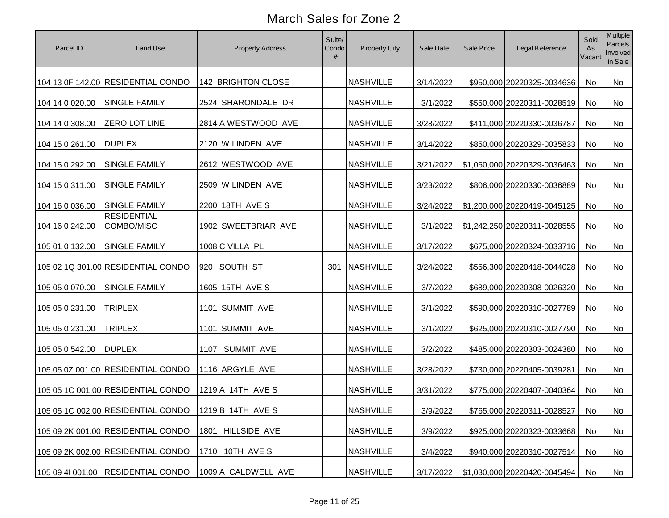| Parcel ID       | Land Use                           | Property Address    | Suite/<br>Condo<br># | Property City    | Sale Date | Sale Price | Legal Reference               | Sold<br>As<br>Vacant | Multiple<br>Parcels<br>Involved<br>in Sale |
|-----------------|------------------------------------|---------------------|----------------------|------------------|-----------|------------|-------------------------------|----------------------|--------------------------------------------|
|                 | 104 13 0F 142.00 RESIDENTIAL CONDO | 142 BRIGHTON CLOSE  |                      | <b>NASHVILLE</b> | 3/14/2022 |            | \$950,000 20220325-0034636    | No                   | No                                         |
| 104 14 0 020.00 | <b>SINGLE FAMILY</b>               | 2524 SHARONDALE DR  |                      | <b>NASHVILLE</b> | 3/1/2022  |            | \$550,000 20220311-0028519    | No                   | No                                         |
| 104 14 0 308.00 | ZERO LOT LINE                      | 2814 A WESTWOOD AVE |                      | <b>NASHVILLE</b> | 3/28/2022 |            | \$411,000 20220330-0036787    | No                   | No                                         |
| 104 15 0 261.00 | <b>DUPLEX</b>                      | 2120 W LINDEN AVE   |                      | <b>NASHVILLE</b> | 3/14/2022 |            | \$850,000 20220329-0035833    | No                   | No                                         |
| 104 15 0 292.00 | SINGLE FAMILY                      | 2612 WESTWOOD AVE   |                      | <b>NASHVILLE</b> | 3/21/2022 |            | \$1,050,000 20220329-0036463  | No                   | No                                         |
| 104 15 0 311.00 | <b>SINGLE FAMILY</b>               | 2509 W LINDEN AVE   |                      | <b>NASHVILLE</b> | 3/23/2022 |            | \$806,000 20220330-0036889    | No                   | No                                         |
| 104 16 0 036.00 | <b>SINGLE FAMILY</b>               | 2200 18TH AVE S     |                      | <b>NASHVILLE</b> | 3/24/2022 |            | \$1,200,000 20220419-0045125  | No                   | No                                         |
| 104 16 0 242.00 | <b>RESIDENTIAL</b><br>COMBO/MISC   | 1902 SWEETBRIAR AVE |                      | <b>NASHVILLE</b> | 3/1/2022  |            | \$1,242,250 20220311-0028555  | No                   | No                                         |
| 105 01 0 132.00 | SINGLE FAMILY                      | 1008 C VILLA PL     |                      | <b>NASHVILLE</b> | 3/17/2022 |            | \$675,000 20220324-0033716    | No                   | No                                         |
|                 | 105 02 1Q 301.00 RESIDENTIAL CONDO | 920 SOUTH ST        | 301                  | <b>NASHVILLE</b> | 3/24/2022 |            | \$556,300 20220418-0044028    | No                   | No                                         |
| 105 05 0 070.00 | SINGLE FAMILY                      | 1605 15TH AVE S     |                      | <b>NASHVILLE</b> | 3/7/2022  |            | \$689,000 20220308-0026320    | No                   | No                                         |
| 105 05 0 231.00 | <b>TRIPLEX</b>                     | 1101 SUMMIT AVE     |                      | <b>NASHVILLE</b> | 3/1/2022  |            | \$590,000 20220310-0027789    | No                   | No                                         |
| 105 05 0 231.00 | <b>TRIPLEX</b>                     | 1101 SUMMIT AVE     |                      | <b>NASHVILLE</b> | 3/1/2022  |            | \$625,000 20220310-0027790    | No                   | No                                         |
| 105 05 0 542.00 | <b>DUPLEX</b>                      | 1107 SUMMIT AVE     |                      | <b>NASHVILLE</b> | 3/2/2022  |            | \$485,000 20220303-0024380    | No                   | No                                         |
|                 | 105 05 0Z 001.00 RESIDENTIAL CONDO | 1116 ARGYLE AVE     |                      | <b>NASHVILLE</b> | 3/28/2022 |            | \$730,000 20220405-0039281    | No                   | No                                         |
|                 | 105 05 1C 001.00 RESIDENTIAL CONDO | 1219 A 14TH AVE S   |                      | <b>NASHVILLE</b> | 3/31/2022 |            | \$775,000 20220407-0040364    | No                   | No                                         |
|                 | 105 05 1C 002.00 RESIDENTIAL CONDO | 1219 B 14TH AVE S   |                      | <b>NASHVILLE</b> | 3/9/2022  |            | \$765,000 20220311-0028527 No |                      | No                                         |
|                 | 105 09 2K 001.00 RESIDENTIAL CONDO | 1801 HILLSIDE AVE   |                      | <b>NASHVILLE</b> | 3/9/2022  |            | \$925,000 20220323-0033668    | No                   | No                                         |
|                 | 105 09 2K 002.00 RESIDENTIAL CONDO | 1710 10TH AVE S     |                      | <b>NASHVILLE</b> | 3/4/2022  |            | \$940,000 20220310-0027514    | No                   | No                                         |
|                 | 105 09 41 001.00 RESIDENTIAL CONDO | 1009 A CALDWELL AVE |                      | <b>NASHVILLE</b> | 3/17/2022 |            | \$1,030,000 20220420-0045494  | No                   | No                                         |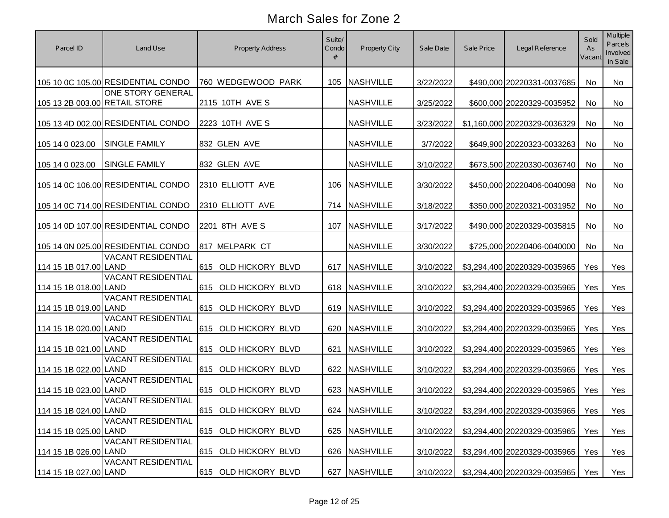| Parcel ID                     | Land Use                           | <b>Property Address</b> | Suite/<br>Condo<br># | Property City    | Sale Date | Sale Price | Legal Reference                    | Sold<br>As<br>Vacant | Multiple<br>Parcels<br>Involved<br>in Sale |
|-------------------------------|------------------------------------|-------------------------|----------------------|------------------|-----------|------------|------------------------------------|----------------------|--------------------------------------------|
|                               | 105 10 0C 105.00 RESIDENTIAL CONDO | 760 WEDGEWOOD PARK      |                      | 105 NASHVILLE    | 3/22/2022 |            | \$490,000 20220331-0037685         | No                   | No                                         |
| 105 13 2B 003.00 RETAIL STORE | ONE STORY GENERAL                  | 2115 10TH AVE S         |                      | <b>NASHVILLE</b> | 3/25/2022 |            | \$600,000 20220329-0035952         | No                   | No                                         |
|                               | 105 13 4D 002.00 RESIDENTIAL CONDO | 2223 10TH AVE S         |                      | <b>NASHVILLE</b> | 3/23/2022 |            | \$1,160,000 20220329-0036329       | No                   | No                                         |
| 105 14 0 023.00               | <b>SINGLE FAMILY</b>               | 832 GLEN AVE            |                      | <b>NASHVILLE</b> | 3/7/2022  |            | \$649,900 20220323-0033263         | No                   | No                                         |
| 105 14 0 023.00               | <b>SINGLE FAMILY</b>               | 832 GLEN AVE            |                      | <b>NASHVILLE</b> | 3/10/2022 |            | \$673,500 20220330-0036740         | No                   | No                                         |
|                               | 105 14 0C 106.00 RESIDENTIAL CONDO | 2310 ELLIOTT AVE        |                      | 106 NASHVILLE    | 3/30/2022 |            | \$450,000 20220406-0040098         | No                   | No                                         |
|                               | 105 14 0C 714.00 RESIDENTIAL CONDO | 2310 ELLIOTT AVE        |                      | 714 NASHVILLE    | 3/18/2022 |            | \$350,000 20220321-0031952         | No                   | No                                         |
|                               | 105 14 0D 107.00 RESIDENTIAL CONDO | 2201 8TH AVE S          |                      | 107 NASHVILLE    | 3/17/2022 |            | \$490,000 20220329-0035815         | No                   | No                                         |
|                               | 105 14 0N 025.00 RESIDENTIAL CONDO | 817 MELPARK CT          |                      | <b>NASHVILLE</b> | 3/30/2022 |            | \$725,000 20220406-0040000         | No                   | No                                         |
| 114 15 1B 017.00 LAND         | <b>VACANT RESIDENTIAL</b>          | 615 OLD HICKORY BLVD    | 617                  | <b>NASHVILLE</b> | 3/10/2022 |            | \$3,294,400 20220329-0035965       | Yes                  | Yes                                        |
| 114 15 1B 018.00 LAND         | <b>VACANT RESIDENTIAL</b>          | 615 OLD HICKORY BLVD    |                      | 618 NASHVILLE    | 3/10/2022 |            | \$3,294,400 20220329-0035965       | Yes                  | Yes                                        |
| 114 15 1B 019.00 LAND         | <b>VACANT RESIDENTIAL</b>          | 615 OLD HICKORY BLVD    |                      | 619 NASHVILLE    | 3/10/2022 |            | \$3,294,400 20220329-0035965       | Yes                  | Yes                                        |
| 114 15 1B 020.00 LAND         | <b>VACANT RESIDENTIAL</b>          | 615 OLD HICKORY BLVD    |                      | 620 NASHVILLE    | 3/10/2022 |            | \$3,294,400 20220329-0035965       | Yes                  | Yes                                        |
| 114 15 1B 021.00 LAND         | <b>VACANT RESIDENTIAL</b>          | 615 OLD HICKORY BLVD    | 621                  | <b>NASHVILLE</b> | 3/10/2022 |            | \$3,294,400 20220329-0035965       | Yes                  | Yes                                        |
| 114 15 1B 022.00 LAND         | <b>VACANT RESIDENTIAL</b>          | 615 OLD HICKORY BLVD    |                      | 622 NASHVILLE    | 3/10/2022 |            | \$3,294,400 20220329-0035965       | Yes                  | Yes                                        |
| 114 15 1B 023.00 LAND         | <b>VACANT RESIDENTIAL</b>          | 615 OLD HICKORY BLVD    |                      | 623 NASHVILLE    | 3/10/2022 |            | \$3,294,400 20220329-0035965       | Yes                  | Yes                                        |
| 114 15 1B 024.00 LAND         | <b>VACANT RESIDENTIAL</b>          | 615 OLD HICKORY BLVD    |                      | 624 NASHVILLE    | 3/10/2022 |            | \$3,294,400 20220329-0035965   Yes |                      | Yes                                        |
| 114 15 1B 025.00 LAND         | <b>VACANT RESIDENTIAL</b>          | 615 OLD HICKORY BLVD    |                      | 625 NASHVILLE    | 3/10/2022 |            | \$3,294,400 20220329-0035965       | Yes                  | Yes                                        |
| 114 15 1B 026.00 LAND         | <b>VACANT RESIDENTIAL</b>          | 615 OLD HICKORY BLVD    |                      | 626 NASHVILLE    | 3/10/2022 |            | \$3,294,400 20220329-0035965       | Yes                  | Yes                                        |
| 114 15 1B 027.00 LAND         | <b>VACANT RESIDENTIAL</b>          | 615 OLD HICKORY BLVD    |                      | 627 NASHVILLE    | 3/10/2022 |            | \$3,294,400 20220329-0035965       | Yes                  | Yes                                        |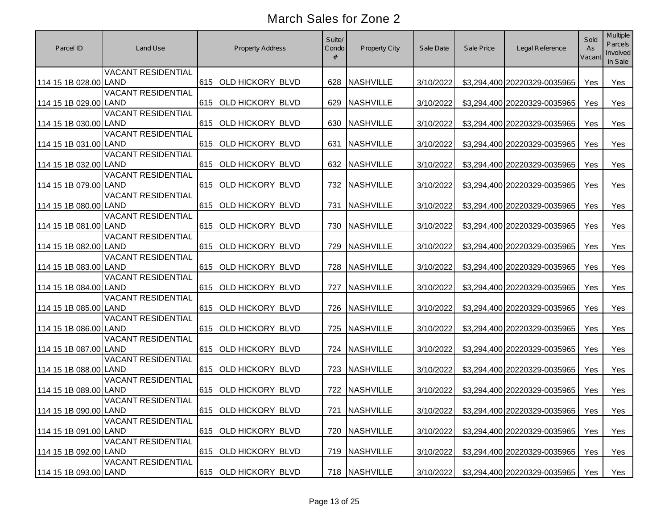| Parcel ID             | Land Use                  | <b>Property Address</b> | Suite/<br>Condo | Property City    | Sale Date | Sale Price | Legal Reference                  | Sold<br>As<br>Vacant | <b>Multiple</b><br>Parcels<br>Involved<br>in Sale |
|-----------------------|---------------------------|-------------------------|-----------------|------------------|-----------|------------|----------------------------------|----------------------|---------------------------------------------------|
| 114 15 1B 028.00 LAND | <b>VACANT RESIDENTIAL</b> | 615 OLD HICKORY BLVD    | 628             | <b>NASHVILLE</b> | 3/10/2022 |            | \$3,294,400 20220329-0035965     | Yes                  | Yes                                               |
| 114 15 1B 029.00 LAND | <b>VACANT RESIDENTIAL</b> | 615 OLD HICKORY BLVD    | 629             | <b>NASHVILLE</b> | 3/10/2022 |            | \$3,294,400 20220329-0035965     | Yes                  | Yes                                               |
| 114 15 1B 030.00 LAND | <b>VACANT RESIDENTIAL</b> | 615 OLD HICKORY BLVD    | 630             | <b>NASHVILLE</b> | 3/10/2022 |            | \$3,294,400 20220329-0035965     | Yes                  | Yes                                               |
| 114 15 1B 031.00 LAND | <b>VACANT RESIDENTIAL</b> | 615 OLD HICKORY BLVD    | 631             | <b>NASHVILLE</b> | 3/10/2022 |            | \$3,294,400 20220329-0035965     | Yes                  | Yes                                               |
| 114 15 1B 032.00 LAND | <b>VACANT RESIDENTIAL</b> | 615 OLD HICKORY BLVD    |                 | 632 NASHVILLE    | 3/10/2022 |            | \$3,294,400 20220329-0035965     | Yes                  | Yes                                               |
| 114 15 1B 079.00 LAND | <b>VACANT RESIDENTIAL</b> | 615 OLD HICKORY BLVD    |                 | 732 NASHVILLE    | 3/10/2022 |            | \$3,294,400 20220329-0035965     | Yes                  | Yes                                               |
| 114 15 1B 080.00 LAND | <b>VACANT RESIDENTIAL</b> | 615 OLD HICKORY BLVD    | 731             | <b>NASHVILLE</b> | 3/10/2022 |            | \$3,294,400 20220329-0035965     | Yes                  | Yes                                               |
| 114 15 1B 081.00 LAND | <b>VACANT RESIDENTIAL</b> | 615 OLD HICKORY BLVD    |                 | 730 NASHVILLE    | 3/10/2022 |            | \$3,294,400 20220329-0035965     | Yes                  | Yes                                               |
| 114 15 1B 082.00 LAND | <b>VACANT RESIDENTIAL</b> | 615 OLD HICKORY BLVD    | 729             | <b>NASHVILLE</b> | 3/10/2022 |            | \$3,294,400 20220329-0035965     | Yes                  | Yes                                               |
| 114 15 1B 083.00 LAND | <b>VACANT RESIDENTIAL</b> | 615 OLD HICKORY BLVD    | 728             | NASHVILLE        | 3/10/2022 |            | \$3,294,400 20220329-0035965     | Yes                  | Yes                                               |
| 114 15 1B 084.00 LAND | <b>VACANT RESIDENTIAL</b> | 615 OLD HICKORY BLVD    | 727             | <b>NASHVILLE</b> | 3/10/2022 |            | \$3,294,400 20220329-0035965     | Yes                  | Yes                                               |
| 114 15 1B 085.00 LAND | <b>VACANT RESIDENTIAL</b> | 615 OLD HICKORY BLVD    | 726             | <b>NASHVILLE</b> | 3/10/2022 |            | \$3,294,400 20220329-0035965     | Yes                  | Yes                                               |
| 114 15 1B 086.00 LAND | <b>VACANT RESIDENTIAL</b> | 615 OLD HICKORY BLVD    | 725             | <b>NASHVILLE</b> | 3/10/2022 |            | \$3,294,400 20220329-0035965     | Yes                  | Yes                                               |
| 114 15 1B 087.00 LAND | <b>VACANT RESIDENTIAL</b> | 615 OLD HICKORY BLVD    |                 | 724 NASHVILLE    | 3/10/2022 |            | \$3,294,400 20220329-0035965     | Yes                  | Yes                                               |
| 114 15 1B 088.00 LAND | <b>VACANT RESIDENTIAL</b> | 615 OLD HICKORY BLVD    |                 | 723 NASHVILLE    | 3/10/2022 |            | \$3,294,400 20220329-0035965     | Yes                  | Yes                                               |
| 114 15 1B 089.00 LAND | <b>VACANT RESIDENTIAL</b> | 615 OLD HICKORY BLVD    |                 | 722 NASHVILLE    | 3/10/2022 |            | \$3,294,400 20220329-0035965     | Yes                  | Yes                                               |
| 114 15 1B 090.00 LAND | <b>VACANT RESIDENTIAL</b> | 615 OLD HICKORY BLVD    |                 | 721 NASHVILLE    | 3/10/2022 |            | \$3,294,400 20220329-0035965 Yes |                      | Yes                                               |
| 114 15 1B 091.00 LAND | <b>VACANT RESIDENTIAL</b> | 615 OLD HICKORY BLVD    |                 | 720 NASHVILLE    | 3/10/2022 |            | \$3,294,400 20220329-0035965     | Yes                  | Yes                                               |
| 114 15 1B 092.00 LAND | <b>VACANT RESIDENTIAL</b> | 615 OLD HICKORY BLVD    |                 | 719 NASHVILLE    | 3/10/2022 |            | \$3,294,400 20220329-0035965     | Yes                  | Yes                                               |
| 114 15 1B 093.00 LAND | <b>VACANT RESIDENTIAL</b> | 615 OLD HICKORY BLVD    |                 | 718 NASHVILLE    | 3/10/2022 |            | \$3,294,400 20220329-0035965     | Yes                  | Yes                                               |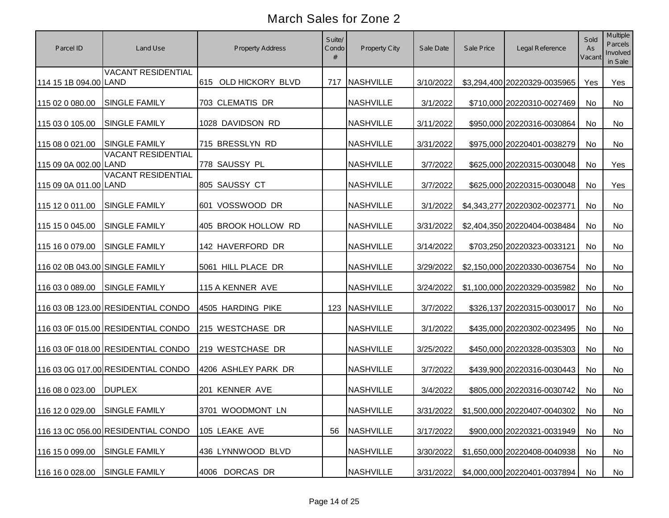| Parcel ID                      | Land Use                           | Property Address     | Suite/<br>Condo | Property City    | Sale Date | Sale Price | Legal Reference                           | Sold<br>As<br>Vacant | Multiple<br>Parcels<br>Involved<br>in Sale |
|--------------------------------|------------------------------------|----------------------|-----------------|------------------|-----------|------------|-------------------------------------------|----------------------|--------------------------------------------|
| 114 15 1B 094.00 LAND          | <b>VACANT RESIDENTIAL</b>          | 615 OLD HICKORY BLVD |                 | 717 NASHVILLE    | 3/10/2022 |            | \$3,294,400 20220329-0035965              | Yes                  | Yes                                        |
| 115 02 0 080.00                | SINGLE FAMILY                      | 703 CLEMATIS DR      |                 | <b>NASHVILLE</b> | 3/1/2022  |            | \$710,000 20220310-0027469                | No                   | No                                         |
| 115 03 0 105.00                | <b>SINGLE FAMILY</b>               | 1028 DAVIDSON RD     |                 | <b>NASHVILLE</b> | 3/11/2022 |            | \$950,000 20220316-0030864                | No                   | No                                         |
| 115 08 0 021.00                | <b>SINGLE FAMILY</b>               | 715 BRESSLYN RD      |                 | <b>NASHVILLE</b> | 3/31/2022 |            | \$975,000 20220401-0038279                | No                   | No                                         |
| 115 09 0A 002.00 LAND          | <b>VACANT RESIDENTIAL</b>          | 778 SAUSSY PL        |                 | <b>NASHVILLE</b> | 3/7/2022  |            | \$625,000 20220315-0030048                | <b>No</b>            | Yes                                        |
| 115 09 0A 011.00 LAND          | <b>VACANT RESIDENTIAL</b>          | 805 SAUSSY CT        |                 | <b>NASHVILLE</b> | 3/7/2022  |            | \$625,000 20220315-0030048                | <b>No</b>            | Yes                                        |
| 115 12 0 011.00                | <b>SINGLE FAMILY</b>               | 601 VOSSWOOD DR      |                 | <b>NASHVILLE</b> | 3/1/2022  |            | \$4,343,277 20220302-0023771              | No                   | No                                         |
| 115 15 0 045.00                | <b>SINGLE FAMILY</b>               | 405 BROOK HOLLOW RD  |                 | <b>NASHVILLE</b> | 3/31/2022 |            | \$2,404,350 20220404-0038484              | No                   | <b>No</b>                                  |
| 115 16 0 079.00                | <b>SINGLE FAMILY</b>               | 142 HAVERFORD DR     |                 | <b>NASHVILLE</b> | 3/14/2022 |            | \$703,250 20220323-0033121                | No                   | No                                         |
| 116 02 0B 043.00 SINGLE FAMILY |                                    | 5061 HILL PLACE DR   |                 | <b>NASHVILLE</b> | 3/29/2022 |            | \$2,150,000 20220330-0036754              | No                   | No                                         |
| 116 03 0 089.00                | <b>SINGLE FAMILY</b>               | 115 A KENNER AVE     |                 | <b>NASHVILLE</b> | 3/24/2022 |            | \$1,100,000 20220329-0035982              | No                   | <b>No</b>                                  |
|                                | 116 03 0B 123.00 RESIDENTIAL CONDO | 4505 HARDING PIKE    |                 | 123 NASHVILLE    | 3/7/2022  |            | \$326,137 20220315-0030017                | No                   | No                                         |
|                                | 116 03 0F 015.00 RESIDENTIAL CONDO | 215 WESTCHASE DR     |                 | <b>NASHVILLE</b> | 3/1/2022  |            | \$435,000 20220302-0023495                | No                   | No                                         |
|                                | 116 03 0F 018.00 RESIDENTIAL CONDO | 219 WESTCHASE DR     |                 | <b>NASHVILLE</b> | 3/25/2022 |            | \$450,000 20220328-0035303                | No                   | No.                                        |
|                                | 116 03 0G 017.00 RESIDENTIAL CONDO | 4206 ASHLEY PARK DR  |                 | <b>NASHVILLE</b> | 3/7/2022  |            | \$439,900 20220316-0030443                | No                   | No                                         |
| 116 08 0 023.00                | <b>DUPLEX</b>                      | 201 KENNER AVE       |                 | <b>NASHVILLE</b> | 3/4/2022  |            | \$805,000 20220316-0030742                | <b>No</b>            | No                                         |
| 116 12 0 029.00 SINGLE FAMILY  |                                    | 3701 WOODMONT LN     |                 | <b>NASHVILLE</b> |           |            | 3/31/2022 \$1,500,000 20220407-0040302 No |                      | No                                         |
|                                | 116 13 0C 056.00 RESIDENTIAL CONDO | 105 LEAKE AVE        | 56              | <b>NASHVILLE</b> | 3/17/2022 |            | \$900,000 20220321-0031949                | No                   | No                                         |
| 116 15 0 099.00                | <b>SINGLE FAMILY</b>               | 436 LYNNWOOD BLVD    |                 | <b>NASHVILLE</b> | 3/30/2022 |            | \$1,650,000 20220408-0040938              | No                   | No                                         |
| 116 16 0 028.00                | <b>SINGLE FAMILY</b>               | 4006 DORCAS DR       |                 | <b>NASHVILLE</b> | 3/31/2022 |            | \$4,000,000 20220401-0037894              | No                   | No                                         |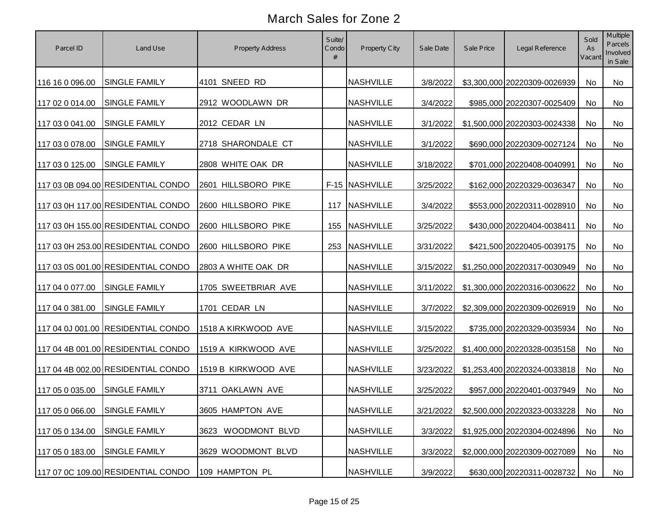| Parcel ID                     | Land Use                           | Property Address    | Suite/<br>Condo<br># | Property City    | Sale Date | Sale Price | Legal Reference                           | Sold<br>As<br>Vacant | Multiple<br>Parcels<br>Involved<br>in Sale |
|-------------------------------|------------------------------------|---------------------|----------------------|------------------|-----------|------------|-------------------------------------------|----------------------|--------------------------------------------|
| 116 16 0 096.00               | <b>SINGLE FAMILY</b>               | 4101 SNEED RD       |                      | <b>NASHVILLE</b> | 3/8/2022  |            | \$3,300,000 20220309-0026939              | No                   | No                                         |
| 117 02 0 014.00               | <b>SINGLE FAMILY</b>               | 2912 WOODLAWN DR    |                      | <b>NASHVILLE</b> | 3/4/2022  |            | \$985,000 20220307-0025409                | No                   | No                                         |
| 117 03 0 041.00               | <b>SINGLE FAMILY</b>               | 2012 CEDAR LN       |                      | <b>NASHVILLE</b> | 3/1/2022  |            | \$1,500,000 20220303-0024338              | No                   | No                                         |
| 117 03 0 078.00               | <b>SINGLE FAMILY</b>               | 2718 SHARONDALE CT  |                      | <b>NASHVILLE</b> | 3/1/2022  |            | \$690,000 20220309-0027124                | No                   | No                                         |
| 117 03 0 125.00               | <b>SINGLE FAMILY</b>               | 2808 WHITE OAK DR   |                      | <b>NASHVILLE</b> | 3/18/2022 |            | \$701,000 20220408-0040991                | No                   | No                                         |
|                               | 117 03 0B 094.00 RESIDENTIAL CONDO | 2601 HILLSBORO PIKE |                      | F-15 NASHVILLE   | 3/25/2022 |            | \$162,000 20220329-0036347                | No                   | No                                         |
|                               | 117 03 0H 117.00 RESIDENTIAL CONDO | 2600 HILLSBORO PIKE | 117                  | <b>NASHVILLE</b> | 3/4/2022  |            | \$553,000 20220311-0028910                | No                   | No                                         |
|                               | 117 03 0H 155.00 RESIDENTIAL CONDO | 2600 HILLSBORO PIKE | 155                  | <b>NASHVILLE</b> | 3/25/2022 |            | \$430,000 20220404-0038411                | No                   | No                                         |
|                               | 117 03 0H 253.00 RESIDENTIAL CONDO | 2600 HILLSBORO PIKE | 253                  | <b>NASHVILLE</b> | 3/31/2022 |            | \$421,500 20220405-0039175                | No                   | No                                         |
|                               | 117 03 0S 001.00 RESIDENTIAL CONDO | 2803 A WHITE OAK DR |                      | <b>NASHVILLE</b> | 3/15/2022 |            | \$1,250,000 20220317-0030949              | No                   | No                                         |
| 117 04 0 077.00               | <b>SINGLE FAMILY</b>               | 1705 SWEETBRIAR AVE |                      | <b>NASHVILLE</b> | 3/11/2022 |            | \$1,300,000 20220316-0030622              | No                   | No                                         |
| 117 04 0 381.00               | <b>SINGLE FAMILY</b>               | 1701 CEDAR LN       |                      | <b>NASHVILLE</b> | 3/7/2022  |            | \$2,309,000 20220309-0026919              | No                   | <b>No</b>                                  |
|                               | 117 04 0J 001.00 RESIDENTIAL CONDO | 1518 A KIRKWOOD AVE |                      | <b>NASHVILLE</b> | 3/15/2022 |            | \$735,000 20220329-0035934                | No                   | <b>No</b>                                  |
|                               | 117 04 4B 001.00 RESIDENTIAL CONDO | 1519 A KIRKWOOD AVE |                      | <b>NASHVILLE</b> | 3/25/2022 |            | \$1,400,000 20220328-0035158              | No                   | <b>No</b>                                  |
|                               | 117 04 4B 002.00 RESIDENTIAL CONDO | 1519 B KIRKWOOD AVE |                      | <b>NASHVILLE</b> | 3/23/2022 |            | \$1,253,400 20220324-0033818              | No                   | No                                         |
| 117 05 0 035.00               | <b>SINGLE FAMILY</b>               | 3711 OAKLAWN AVE    |                      | <b>NASHVILLE</b> | 3/25/2022 |            | \$957,000 20220401-0037949                | No                   | No                                         |
| 117 05 0 066.00 SINGLE FAMILY |                                    | 3605 HAMPTON AVE    |                      | <b>NASHVILLE</b> |           |            | 3/21/2022 \$2,500,000 20220323-0033228 No |                      | No                                         |
| 117 05 0 134.00               | <b>SINGLE FAMILY</b>               | 3623 WOODMONT BLVD  |                      | <b>NASHVILLE</b> | 3/3/2022  |            | \$1,925,000 20220304-0024896              | No                   | No                                         |
| 117 05 0 183.00               | <b>SINGLE FAMILY</b>               | 3629 WOODMONT BLVD  |                      | <b>NASHVILLE</b> | 3/3/2022  |            | \$2,000,000 20220309-0027089              | No                   | No                                         |
|                               | 117 07 0C 109.00 RESIDENTIAL CONDO | 109 HAMPTON PL      |                      | <b>NASHVILLE</b> | 3/9/2022  |            | \$630,000 20220311-0028732                | No                   | No                                         |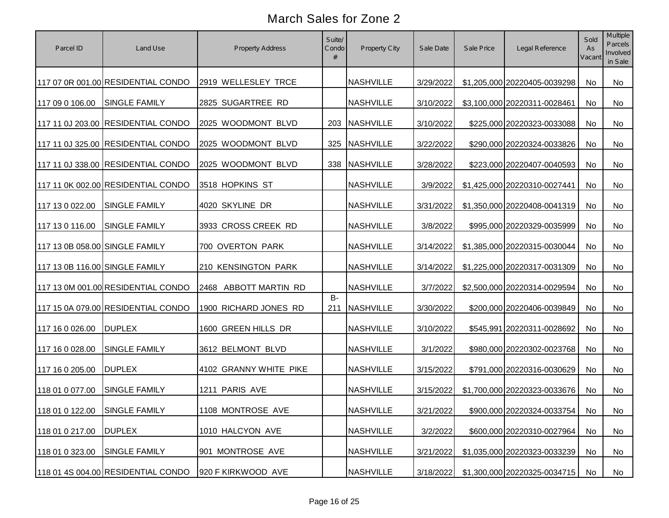| Parcel ID                      | Land Use                           | Property Address       | Suite/<br>Condo<br># | Property City    | Sale Date | Sale Price | Legal Reference              | Sold<br>As<br>Vacant | Multiple<br>Parcels<br>Involved<br>in Sale |
|--------------------------------|------------------------------------|------------------------|----------------------|------------------|-----------|------------|------------------------------|----------------------|--------------------------------------------|
|                                | 117 07 0R 001.00 RESIDENTIAL CONDO | 2919 WELLESLEY TRCE    |                      | <b>NASHVILLE</b> | 3/29/2022 |            | \$1,205,000 20220405-0039298 | No                   | No                                         |
| 117 09 0 106.00                | <b>SINGLE FAMILY</b>               | 2825 SUGARTREE RD      |                      | <b>NASHVILLE</b> | 3/10/2022 |            | \$3,100,000 20220311-0028461 | No                   | No                                         |
|                                | 117 11 0J 203.00 RESIDENTIAL CONDO | 2025 WOODMONT BLVD     |                      | 203 NASHVILLE    | 3/10/2022 |            | \$225,000 20220323-0033088   | No                   | No                                         |
|                                | 117 11 0J 325.00 RESIDENTIAL CONDO | 2025 WOODMONT BLVD     | 325                  | <b>NASHVILLE</b> | 3/22/2022 |            | \$290,000 20220324-0033826   | No                   | No                                         |
|                                | 117 11 0J 338.00 RESIDENTIAL CONDO | 2025 WOODMONT BLVD     | 338                  | <b>NASHVILLE</b> | 3/28/2022 |            | \$223,000 20220407-0040593   | No                   | No                                         |
|                                | 117 11 0K 002.00 RESIDENTIAL CONDO | 3518 HOPKINS ST        |                      | <b>NASHVILLE</b> | 3/9/2022  |            | \$1,425,000 20220310-0027441 | No                   | No                                         |
| 117 13 0 022.00                | <b>SINGLE FAMILY</b>               | 4020 SKYLINE DR        |                      | <b>NASHVILLE</b> | 3/31/2022 |            | \$1,350,000 20220408-0041319 | No                   | No                                         |
| 117 13 0 116.00                | <b>SINGLE FAMILY</b>               | 3933 CROSS CREEK RD    |                      | <b>NASHVILLE</b> | 3/8/2022  |            | \$995,000 20220329-0035999   | No                   | No                                         |
| 117 13 0B 058.00 SINGLE FAMILY |                                    | 700 OVERTON PARK       |                      | <b>NASHVILLE</b> | 3/14/2022 |            | \$1,385,000 20220315-0030044 | No                   | No                                         |
| 117 13 0B 116.00 SINGLE FAMILY |                                    | 210 KENSINGTON PARK    |                      | <b>NASHVILLE</b> | 3/14/2022 |            | \$1,225,000 20220317-0031309 | No                   | No                                         |
|                                | 117 13 0M 001.00 RESIDENTIAL CONDO | 2468 ABBOTT MARTIN RD  |                      | <b>NASHVILLE</b> | 3/7/2022  |            | \$2,500,000 20220314-0029594 | No                   | <b>No</b>                                  |
|                                | 117 15 0A 079.00 RESIDENTIAL CONDO | 1900 RICHARD JONES RD  | $B -$<br>211         | NASHVILLE        | 3/30/2022 |            | \$200,000 20220406-0039849   | No                   | <b>No</b>                                  |
| 117 16 0 026.00                | <b>DUPLEX</b>                      | 1600 GREEN HILLS DR    |                      | <b>NASHVILLE</b> | 3/10/2022 |            | \$545,991 20220311-0028692   | No                   | <b>No</b>                                  |
| 117 16 0 028.00                | <b>SINGLE FAMILY</b>               | 3612 BELMONT BLVD      |                      | <b>NASHVILLE</b> | 3/1/2022  |            | \$980,000 20220302-0023768   | <b>No</b>            | <b>No</b>                                  |
| 117 16 0 205.00                | <b>DUPLEX</b>                      | 4102 GRANNY WHITE PIKE |                      | <b>NASHVILLE</b> | 3/15/2022 |            | \$791,000 20220316-0030629   | <b>No</b>            | No                                         |
| 118 01 0 077.00                | <b>SINGLE FAMILY</b>               | 1211 PARIS AVE         |                      | <b>NASHVILLE</b> | 3/15/2022 |            | \$1,700,000 20220323-0033676 | <b>No</b>            | No                                         |
| 118 01 0 122.00 SINGLE FAMILY  |                                    | 1108 MONTROSE AVE      |                      | <b>NASHVILLE</b> | 3/21/2022 |            | \$900,000 20220324-0033754   | No                   | No                                         |
| 118 01 0 217.00                | <b>DUPLEX</b>                      | 1010 HALCYON AVE       |                      | <b>NASHVILLE</b> | 3/2/2022  |            | \$600,000 20220310-0027964   | No                   | No                                         |
| 118 01 0 323.00                | <b>SINGLE FAMILY</b>               | 901 MONTROSE AVE       |                      | <b>NASHVILLE</b> | 3/21/2022 |            | \$1,035,000 20220323-0033239 | No                   | No                                         |
|                                | 118 01 4S 004.00 RESIDENTIAL CONDO | 920 F KIRKWOOD AVE     |                      | <b>NASHVILLE</b> | 3/18/2022 |            | \$1,300,000 20220325-0034715 | No                   | No                                         |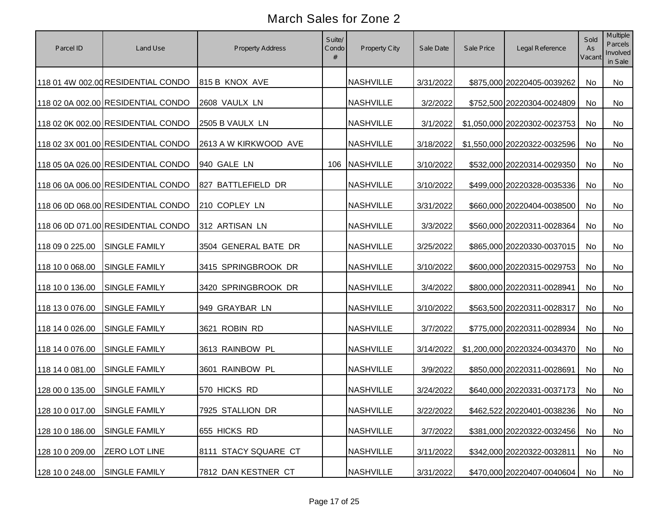| Parcel ID                     | Land Use                           | <b>Property Address</b> | Suite/<br>Condo | Property City    | Sale Date | Sale Price | Legal Reference               | Sold<br>As<br>Vacant | Multiple<br>Parcels<br>Involved<br>in Sale |
|-------------------------------|------------------------------------|-------------------------|-----------------|------------------|-----------|------------|-------------------------------|----------------------|--------------------------------------------|
|                               | 118 01 4W 002.00 RESIDENTIAL CONDO | 815 B KNOX AVE          |                 | <b>NASHVILLE</b> | 3/31/2022 |            | \$875,000 20220405-0039262    | No                   | No                                         |
|                               | 118 02 0A 002.00 RESIDENTIAL CONDO | 2608 VAULX LN           |                 | <b>NASHVILLE</b> | 3/2/2022  |            | \$752,500 20220304-0024809    | No                   | No                                         |
|                               | 118 02 0K 002.00 RESIDENTIAL CONDO | 2505 B VAULX LN         |                 | <b>NASHVILLE</b> | 3/1/2022  |            | \$1,050,000 20220302-0023753  | No                   | No                                         |
|                               | 118 02 3X 001.00 RESIDENTIAL CONDO | 2613 A W KIRKWOOD AVE   |                 | <b>NASHVILLE</b> | 3/18/2022 |            | \$1,550,000 20220322-0032596  | No                   | No                                         |
|                               | 118 05 0A 026.00 RESIDENTIAL CONDO | 940 GALE LN             |                 | 106 NASHVILLE    | 3/10/2022 |            | \$532,000 20220314-0029350    | No                   | No                                         |
|                               | 118 06 0A 006.00 RESIDENTIAL CONDO | 827 BATTLEFIELD DR      |                 | <b>NASHVILLE</b> | 3/10/2022 |            | \$499,000 20220328-0035336    | No                   | No                                         |
|                               | 118 06 0D 068.00 RESIDENTIAL CONDO | 210 COPLEY LN           |                 | <b>NASHVILLE</b> | 3/31/2022 |            | \$660,000 20220404-0038500    | No                   | No                                         |
|                               | 118 06 0D 071.00 RESIDENTIAL CONDO | 312 ARTISAN LN          |                 | <b>NASHVILLE</b> | 3/3/2022  |            | \$560,000 20220311-0028364    | No                   | No                                         |
| 118 09 0 225.00               | <b>SINGLE FAMILY</b>               | 3504 GENERAL BATE DR    |                 | <b>NASHVILLE</b> | 3/25/2022 |            | \$865,000 20220330-0037015    | No                   | No                                         |
| 118 10 0 068.00               | <b>SINGLE FAMILY</b>               | 3415 SPRINGBROOK DR     |                 | <b>NASHVILLE</b> | 3/10/2022 |            | \$600,000 20220315-0029753    | No                   | No                                         |
| 118 10 0 136.00               | <b>SINGLE FAMILY</b>               | 3420 SPRINGBROOK DR     |                 | <b>NASHVILLE</b> | 3/4/2022  |            | \$800,000 20220311-0028941    | No                   | No                                         |
| 118 13 0 076.00               | <b>SINGLE FAMILY</b>               | 949 GRAYBAR LN          |                 | <b>NASHVILLE</b> | 3/10/2022 |            | \$563,500 20220311-0028317    | No                   | No                                         |
| 118 14 0 026.00               | <b>SINGLE FAMILY</b>               | 3621 ROBIN RD           |                 | <b>NASHVILLE</b> | 3/7/2022  |            | \$775,000 20220311-0028934    | No                   | No                                         |
| 118 14 0 076.00               | <b>SINGLE FAMILY</b>               | 3613 RAINBOW PL         |                 | <b>NASHVILLE</b> | 3/14/2022 |            | \$1,200,000 20220324-0034370  | <b>No</b>            | <b>No</b>                                  |
| 118 14 0 081.00               | SINGLE FAMILY                      | 3601 RAINBOW PL         |                 | <b>NASHVILLE</b> | 3/9/2022  |            | \$850,000 20220311-0028691    | <b>No</b>            | No                                         |
| 128 00 0 135.00               | SINGLE FAMILY                      | 570 HICKS RD            |                 | <b>NASHVILLE</b> | 3/24/2022 |            | \$640,000 20220331-0037173    | <b>No</b>            | No                                         |
| 128 10 0 017.00 SINGLE FAMILY |                                    | 7925 STALLION DR        |                 | <b>NASHVILLE</b> | 3/22/2022 |            | \$462,522 20220401-0038236 No |                      | No                                         |
| 128 10 0 186.00               | <b>SINGLE FAMILY</b>               | 655 HICKS RD            |                 | <b>NASHVILLE</b> | 3/7/2022  |            | \$381,000 20220322-0032456    | No                   | No                                         |
| 128 10 0 209.00               | <b>ZERO LOT LINE</b>               | 8111 STACY SQUARE CT    |                 | <b>NASHVILLE</b> | 3/11/2022 |            | \$342,000 20220322-0032811    | No                   | No                                         |
| 128 10 0 248.00               | <b>SINGLE FAMILY</b>               | 7812 DAN KESTNER CT     |                 | <b>NASHVILLE</b> | 3/31/2022 |            | \$470,000 20220407-0040604    | No                   | No                                         |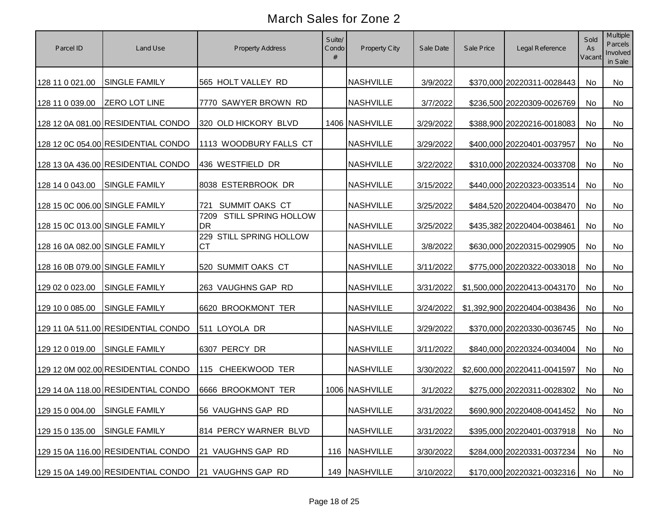| Parcel ID                      | Land Use                           | Property Address                      | Suite/<br>Condo<br># | Property City    | Sale Date | Sale Price | Legal Reference               | Sold<br>As<br>Vacant | Multiple<br>Parcels<br>Involved<br>in Sale |
|--------------------------------|------------------------------------|---------------------------------------|----------------------|------------------|-----------|------------|-------------------------------|----------------------|--------------------------------------------|
| 128 11 0 021.00                | <b>SINGLE FAMILY</b>               | 565 HOLT VALLEY RD                    |                      | <b>NASHVILLE</b> | 3/9/2022  |            | \$370,000 20220311-0028443    | No                   | No                                         |
| 128 11 0 039.00                | <b>ZERO LOT LINE</b>               | 7770 SAWYER BROWN RD                  |                      | <b>NASHVILLE</b> | 3/7/2022  |            | \$236,500 20220309-0026769    | No                   | No                                         |
|                                | 128 12 0A 081.00 RESIDENTIAL CONDO | 320 OLD HICKORY BLVD                  |                      | 1406 NASHVILLE   | 3/29/2022 |            | \$388,900 20220216-0018083    | No                   | No                                         |
|                                | 128 12 0C 054.00 RESIDENTIAL CONDO | 1113 WOODBURY FALLS CT                |                      | <b>NASHVILLE</b> | 3/29/2022 |            | \$400,000 20220401-0037957    | No                   | No                                         |
|                                | 128 13 0A 436.00 RESIDENTIAL CONDO | 436 WESTFIELD DR                      |                      | <b>NASHVILLE</b> | 3/22/2022 |            | \$310,000 20220324-0033708    | No                   | No                                         |
| 128 14 0 043.00                | <b>SINGLE FAMILY</b>               | 8038 ESTERBROOK DR                    |                      | <b>NASHVILLE</b> | 3/15/2022 |            | \$440,000 20220323-0033514    | No                   | No                                         |
| 128 15 0C 006.00 SINGLE FAMILY |                                    | 721 SUMMIT OAKS CT                    |                      | <b>NASHVILLE</b> | 3/25/2022 |            | \$484,520 20220404-0038470    | No                   | No                                         |
| 128 15 0C 013.00 SINGLE FAMILY |                                    | 7209 STILL SPRING HOLLOW<br><b>DR</b> |                      | <b>NASHVILLE</b> | 3/25/2022 |            | \$435,382 20220404-0038461    | No                   | No                                         |
| 128 16 0A 082.00 SINGLE FAMILY |                                    | 229 STILL SPRING HOLLOW<br><b>CT</b>  |                      | <b>NASHVILLE</b> | 3/8/2022  |            | \$630,000 20220315-0029905    | No                   | No                                         |
| 128 16 0B 079.00 SINGLE FAMILY |                                    | 520 SUMMIT OAKS CT                    |                      | <b>NASHVILLE</b> | 3/11/2022 |            | \$775,000 20220322-0033018    | No                   | No                                         |
| 129 02 0 023.00                | SINGLE FAMILY                      | 263 VAUGHNS GAP RD                    |                      | <b>NASHVILLE</b> | 3/31/2022 |            | \$1,500,000 20220413-0043170  | No                   | No                                         |
| 129 10 0 085.00                | <b>SINGLE FAMILY</b>               | 6620 BROOKMONT TER                    |                      | <b>NASHVILLE</b> | 3/24/2022 |            | \$1,392,900 20220404-0038436  | No                   | No                                         |
|                                | 129 11 0A 511.00 RESIDENTIAL CONDO | 511 LOYOLA DR                         |                      | <b>NASHVILLE</b> | 3/29/2022 |            | \$370,000 20220330-0036745    | No                   | No                                         |
| 129 12 0 019.00                | <b>SINGLE FAMILY</b>               | 6307 PERCY DR                         |                      | <b>NASHVILLE</b> | 3/11/2022 |            | \$840,000 20220324-0034004    | No                   | No                                         |
|                                | 129 12 0M 002.00 RESIDENTIAL CONDO | 115 CHEEKWOOD TER                     |                      | <b>NASHVILLE</b> | 3/30/2022 |            | \$2,600,000 20220411-0041597  | No                   | No                                         |
|                                | 129 14 0A 118.00 RESIDENTIAL CONDO | 6666 BROOKMONT TER                    |                      | 1006 NASHVILLE   | 3/1/2022  |            | \$275,000 20220311-0028302    | No                   | No                                         |
| 129 15 0 004.00 SINGLE FAMILY  |                                    | 56 VAUGHNS GAP RD                     |                      | <b>NASHVILLE</b> | 3/31/2022 |            | \$690,900 20220408-0041452 No |                      | No                                         |
| 129 15 0 135.00                | <b>SINGLE FAMILY</b>               | 814 PERCY WARNER BLVD                 |                      | <b>NASHVILLE</b> | 3/31/2022 |            | \$395,000 20220401-0037918    | No                   | No                                         |
|                                | 129 15 0A 116.00 RESIDENTIAL CONDO | 21 VAUGHNS GAP RD                     |                      | 116 NASHVILLE    | 3/30/2022 |            | \$284,000 20220331-0037234    | No                   | No                                         |
|                                | 129 15 0A 149.00 RESIDENTIAL CONDO | 21 VAUGHNS GAP RD                     |                      | 149 NASHVILLE    | 3/10/2022 |            | \$170,000 20220321-0032316    | No                   | No                                         |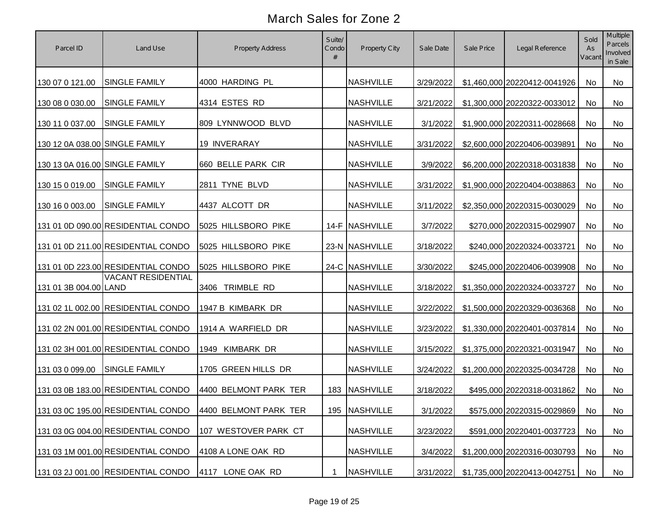| Parcel ID                      | Land Use                           | Property Address                                         | Suite/<br>Condo<br># | Property City    | Sale Date | Sale Price | Legal Reference               | Sold<br>As<br>Vacant | Multiple<br>Parcels<br>Involved<br>in Sale |
|--------------------------------|------------------------------------|----------------------------------------------------------|----------------------|------------------|-----------|------------|-------------------------------|----------------------|--------------------------------------------|
| 130 07 0 121.00                | <b>SINGLE FAMILY</b>               | 4000 HARDING PL                                          |                      | <b>NASHVILLE</b> | 3/29/2022 |            | \$1,460,000 20220412-0041926  | No                   | No                                         |
| 130 08 0 030.00                | <b>SINGLE FAMILY</b>               | 4314 ESTES RD                                            |                      | <b>NASHVILLE</b> | 3/21/2022 |            | \$1,300,000 20220322-0033012  | No                   | No                                         |
| 130 11 0 037.00                | <b>SINGLE FAMILY</b>               | 809 LYNNWOOD BLVD                                        |                      | <b>NASHVILLE</b> | 3/1/2022  |            | \$1,900,000 20220311-0028668  | No                   | No                                         |
| 130 12 0A 038.00 SINGLE FAMILY |                                    | 19 INVERARAY                                             |                      | <b>NASHVILLE</b> | 3/31/2022 |            | \$2,600,000 20220406-0039891  | No                   | No                                         |
| 130 13 0A 016.00 SINGLE FAMILY |                                    | 660 BELLE PARK CIR                                       |                      | <b>NASHVILLE</b> | 3/9/2022  |            | \$6,200,000 20220318-0031838  | No                   | No                                         |
| 130 15 0 019.00                | <b>SINGLE FAMILY</b>               | 2811 TYNE BLVD                                           |                      | <b>NASHVILLE</b> | 3/31/2022 |            | \$1,900,000 20220404-0038863  | No                   | No                                         |
| 130 16 0 003.00                | <b>SINGLE FAMILY</b>               | 4437 ALCOTT DR                                           |                      | <b>NASHVILLE</b> | 3/11/2022 |            | \$2,350,000 20220315-0030029  | No                   | No                                         |
|                                | 131 01 0D 090.00 RESIDENTIAL CONDO | 5025 HILLSBORO PIKE                                      |                      | 14-F NASHVILLE   | 3/7/2022  |            | \$270,000 20220315-0029907    | No                   | No                                         |
|                                | 131 01 0D 211.00 RESIDENTIAL CONDO | 5025 HILLSBORO PIKE                                      |                      | 23-N NASHVILLE   | 3/18/2022 |            | \$240,000 20220324-0033721    | No                   | No                                         |
|                                | 131 01 0D 223.00 RESIDENTIAL CONDO | 5025 HILLSBORO PIKE                                      |                      | 24-C NASHVILLE   | 3/30/2022 |            | \$245,000 20220406-0039908    | No                   | No                                         |
| 131 01 3B 004.00 LAND          | <b>VACANT RESIDENTIAL</b>          | 3406 TRIMBLE RD                                          |                      | <b>NASHVILLE</b> | 3/18/2022 |            | \$1,350,000 20220324-0033727  | No                   | No                                         |
|                                | 131 02 1L 002.00 RESIDENTIAL CONDO | 1947 B KIMBARK DR                                        |                      | <b>NASHVILLE</b> | 3/22/2022 |            | \$1,500,000 20220329-0036368  | No                   | No                                         |
|                                | 131 02 2N 001.00 RESIDENTIAL CONDO | 1914 A WARFIELD DR                                       |                      | <b>NASHVILLE</b> | 3/23/2022 |            | \$1,330,000 20220401-0037814  | No                   | <b>No</b>                                  |
|                                | 131 02 3H 001.00 RESIDENTIAL CONDO | 1949 KIMBARK DR                                          |                      | <b>NASHVILLE</b> | 3/15/2022 |            | \$1,375,000 20220321-0031947  | No                   | <b>No</b>                                  |
| 131 03 0 099.00                | <b>SINGLE FAMILY</b>               | 1705 GREEN HILLS DR                                      |                      | <b>NASHVILLE</b> | 3/24/2022 |            | \$1,200,000 20220325-0034728  | No                   | No                                         |
|                                | 131 03 0B 183.00 RESIDENTIAL CONDO | 4400 BELMONT PARK TER                                    |                      | 183 NASHVILLE    | 3/18/2022 |            | \$495,000 20220318-0031862    | No                   | No                                         |
|                                |                                    | 131 03 0C 195.00 RESIDENTIAL CONDO 4400 BELMONT PARK TER |                      | 195 NASHVILLE    | 3/1/2022  |            | \$575,000 20220315-0029869 No |                      | No                                         |
|                                | 131 03 0G 004.00 RESIDENTIAL CONDO | 107 WESTOVER PARK CT                                     |                      | <b>NASHVILLE</b> | 3/23/2022 |            | \$591,000 20220401-0037723    | No                   | No                                         |
|                                | 131 03 1M 001.00 RESIDENTIAL CONDO | 4108 A LONE OAK RD                                       |                      | <b>NASHVILLE</b> | 3/4/2022  |            | \$1,200,000 20220316-0030793  | No                   | No                                         |
|                                | 131 03 2J 001.00 RESIDENTIAL CONDO | 4117 LONE OAK RD                                         | $\mathbf 1$          | <b>NASHVILLE</b> | 3/31/2022 |            | \$1,735,000 20220413-0042751  | No                   | No                                         |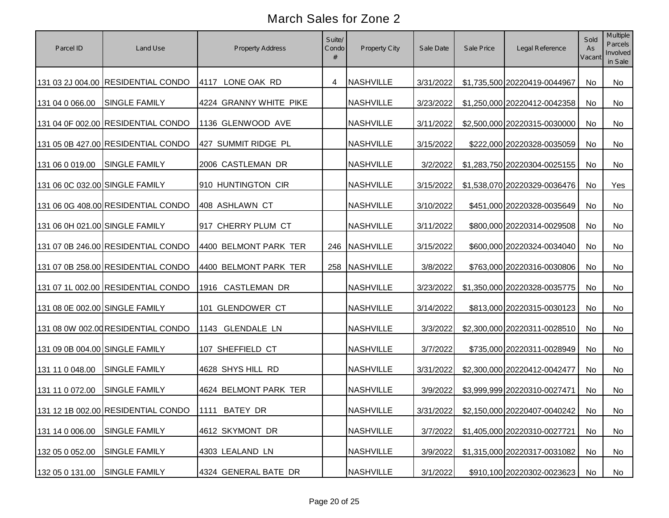| Parcel ID                      | Land Use                           | Property Address       | Suite/<br>Condo | Property City    | Sale Date | Sale Price | Legal Reference              | Sold<br>As<br>Vacant | Multiple<br>Parcels<br>Involved<br>in Sale |
|--------------------------------|------------------------------------|------------------------|-----------------|------------------|-----------|------------|------------------------------|----------------------|--------------------------------------------|
|                                | 131 03 2J 004.00 RESIDENTIAL CONDO | 4117 LONE OAK RD       | 4               | NASHVILLE        | 3/31/2022 |            | \$1,735,500 20220419-0044967 | <b>No</b>            | No                                         |
| 131 04 0 066.00                | <b>SINGLE FAMILY</b>               | 4224 GRANNY WHITE PIKE |                 | <b>NASHVILLE</b> | 3/23/2022 |            | \$1,250,000 20220412-0042358 | <b>No</b>            | No                                         |
|                                | 131 04 0F 002.00 RESIDENTIAL CONDO | 1136 GLENWOOD AVE      |                 | <b>NASHVILLE</b> | 3/11/2022 |            | \$2,500,000 20220315-0030000 | <b>No</b>            | No                                         |
|                                | 131 05 0B 427.00 RESIDENTIAL CONDO | 427 SUMMIT RIDGE PL    |                 | <b>NASHVILLE</b> | 3/15/2022 |            | \$222,000 20220328-0035059   | <b>No</b>            | No                                         |
| 131 06 0 019.00                | <b>SINGLE FAMILY</b>               | 2006 CASTLEMAN DR      |                 | <b>NASHVILLE</b> | 3/2/2022  |            | \$1,283,750 20220304-0025155 | <b>No</b>            | No                                         |
| 131 06 0C 032.00 SINGLE FAMILY |                                    | 910 HUNTINGTON CIR     |                 | <b>NASHVILLE</b> | 3/15/2022 |            | \$1,538,070 20220329-0036476 | <b>No</b>            | Yes                                        |
|                                | 131 06 0G 408.00 RESIDENTIAL CONDO | 408 ASHLAWN CT         |                 | <b>NASHVILLE</b> | 3/10/2022 |            | \$451,000 20220328-0035649   | No                   | No                                         |
| 131 06 0H 021.00 SINGLE FAMILY |                                    | 917 CHERRY PLUM CT     |                 | <b>NASHVILLE</b> | 3/11/2022 |            | \$800,000 20220314-0029508   | <b>No</b>            | <b>No</b>                                  |
|                                | 131 07 0B 246.00 RESIDENTIAL CONDO | 4400 BELMONT PARK TER  |                 | 246 NASHVILLE    | 3/15/2022 |            | \$600,000 20220324-0034040   | No                   | <b>No</b>                                  |
|                                | 131 07 0B 258.00 RESIDENTIAL CONDO | 4400 BELMONT PARK TER  |                 | 258 NASHVILLE    | 3/8/2022  |            | \$763,000 20220316-0030806   | <b>No</b>            | No                                         |
|                                | 131 07 1L 002.00 RESIDENTIAL CONDO | 1916 CASTLEMAN DR      |                 | <b>NASHVILLE</b> | 3/23/2022 |            | \$1,350,000 20220328-0035775 | <b>No</b>            | No.                                        |
| 131 08 0E 002.00 SINGLE FAMILY |                                    | 101 GLENDOWER CT       |                 | <b>NASHVILLE</b> | 3/14/2022 |            | \$813,000 20220315-0030123   | <b>No</b>            | No                                         |
|                                | 131 08 0W 002.00 RESIDENTIAL CONDO | 1143 GLENDALE LN       |                 | <b>NASHVILLE</b> | 3/3/2022  |            | \$2,300,000 20220311-0028510 | No                   | No                                         |
| 131 09 0B 004.00 SINGLE FAMILY |                                    | 107 SHEFFIELD CT       |                 | <b>NASHVILLE</b> | 3/7/2022  |            | \$735,000 20220311-0028949   | <b>No</b>            | No.                                        |
| 131 11 0 048.00                | <b>SINGLE FAMILY</b>               | 4628 SHYS HILL RD      |                 | <b>NASHVILLE</b> | 3/31/2022 |            | \$2,300,000 20220412-0042477 | No                   | <b>No</b>                                  |
| 131 11 0 072.00                | <b>SINGLE FAMILY</b>               | 4624 BELMONT PARK TER  |                 | <b>NASHVILLE</b> | 3/9/2022  |            | \$3,999,999 20220310-0027471 | <b>No</b>            | No.                                        |
|                                | 131 12 1B 002.00 RESIDENTIAL CONDO | 1111 BATEY DR          |                 | <b>NASHVILLE</b> | 3/31/2022 |            | \$2,150,000 20220407-0040242 | No                   | No                                         |
| 131 14 0 006.00                | SINGLE FAMILY                      | 4612 SKYMONT DR        |                 | <b>NASHVILLE</b> | 3/7/2022  |            | \$1,405,000 20220310-0027721 | No                   | No                                         |
| 132 05 0 052.00                | SINGLE FAMILY                      | 4303 LEALAND LN        |                 | <b>NASHVILLE</b> | 3/9/2022  |            | \$1,315,000 20220317-0031082 | No                   | No                                         |
| 132 05 0 131.00                | SINGLE FAMILY                      | 4324 GENERAL BATE DR   |                 | <b>NASHVILLE</b> | 3/1/2022  |            | \$910,100 20220302-0023623   | No                   | No                                         |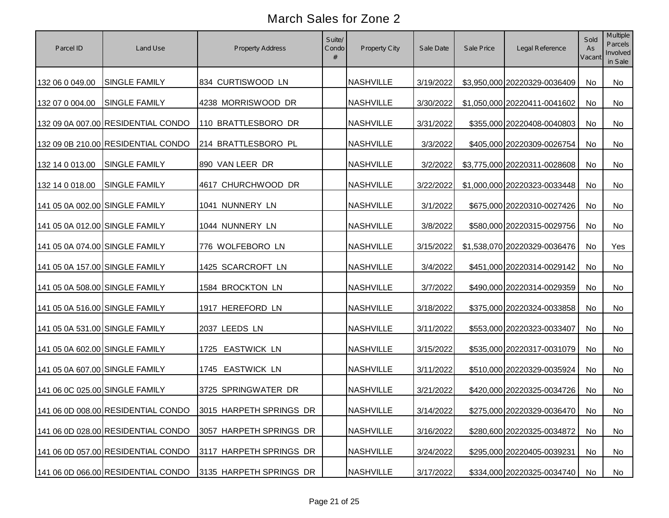| Parcel ID                      | Land Use                           | <b>Property Address</b>                                    | Suite/<br>Condo<br># | Property City    | Sale Date | Sale Price | Legal Reference               | Sold<br>As<br>Vacant | Multiple<br>Parcels<br>Involved<br>in Sale |
|--------------------------------|------------------------------------|------------------------------------------------------------|----------------------|------------------|-----------|------------|-------------------------------|----------------------|--------------------------------------------|
| 132 06 0 049.00                | <b>SINGLE FAMILY</b>               | 834 CURTISWOOD LN                                          |                      | <b>NASHVILLE</b> | 3/19/2022 |            | \$3,950,000 20220329-0036409  | No                   | No                                         |
| 132 07 0 004.00                | <b>SINGLE FAMILY</b>               | 4238 MORRISWOOD DR                                         |                      | <b>NASHVILLE</b> | 3/30/2022 |            | \$1,050,000 20220411-0041602  | No                   | No                                         |
|                                | 132 09 0A 007.00 RESIDENTIAL CONDO | 110 BRATTLESBORO DR                                        |                      | <b>NASHVILLE</b> | 3/31/2022 |            | \$355,000 20220408-0040803    | No                   | No                                         |
|                                | 132 09 0B 210.00 RESIDENTIAL CONDO | 214 BRATTLESBORO PL                                        |                      | <b>NASHVILLE</b> | 3/3/2022  |            | \$405,000 20220309-0026754    | No                   | No                                         |
| 132 14 0 013.00                | <b>SINGLE FAMILY</b>               | 890 VAN LEER DR                                            |                      | <b>NASHVILLE</b> | 3/2/2022  |            | \$3,775,000 20220311-0028608  | No                   | No                                         |
| 132 14 0 018.00                | <b>SINGLE FAMILY</b>               | 4617 CHURCHWOOD DR                                         |                      | <b>NASHVILLE</b> | 3/22/2022 |            | \$1,000,000 20220323-0033448  | No                   | No                                         |
| 141 05 0A 002.00 SINGLE FAMILY |                                    | 1041 NUNNERY LN                                            |                      | <b>NASHVILLE</b> | 3/1/2022  |            | \$675,000 20220310-0027426    | No                   | No                                         |
| 141 05 0A 012.00 SINGLE FAMILY |                                    | 1044 NUNNERY LN                                            |                      | <b>NASHVILLE</b> | 3/8/2022  |            | \$580,000 20220315-0029756    | No                   | No                                         |
| 141 05 0A 074.00 SINGLE FAMILY |                                    | 776 WOLFEBORO LN                                           |                      | <b>NASHVILLE</b> | 3/15/2022 |            | \$1,538,070 20220329-0036476  | No                   | Yes                                        |
| 141 05 0A 157.00 SINGLE FAMILY |                                    | 1425 SCARCROFT LN                                          |                      | <b>NASHVILLE</b> | 3/4/2022  |            | \$451,000 20220314-0029142    | No                   | No                                         |
| 141 05 0A 508.00 SINGLE FAMILY |                                    | 1584 BROCKTON LN                                           |                      | <b>NASHVILLE</b> | 3/7/2022  |            | \$490,000 20220314-0029359    | No                   | No                                         |
| 141 05 0A 516.00 SINGLE FAMILY |                                    | 1917 HEREFORD LN                                           |                      | <b>NASHVILLE</b> | 3/18/2022 |            | \$375,000 20220324-0033858    | No                   | No                                         |
| 141 05 0A 531.00 SINGLE FAMILY |                                    | 2037 LEEDS LN                                              |                      | <b>NASHVILLE</b> | 3/11/2022 |            | \$553,000 20220323-0033407    | No                   | No                                         |
| 141 05 0A 602.00 SINGLE FAMILY |                                    | 1725 EASTWICK LN                                           |                      | <b>NASHVILLE</b> | 3/15/2022 |            | \$535,000 20220317-0031079    | No                   | <b>No</b>                                  |
| 141 05 0A 607.00 SINGLE FAMILY |                                    | 1745 EASTWICK LN                                           |                      | <b>NASHVILLE</b> | 3/11/2022 |            | \$510,000 20220329-0035924    | No                   | No                                         |
| 141 06 0C 025.00 SINGLE FAMILY |                                    | 3725 SPRINGWATER DR                                        |                      | <b>NASHVILLE</b> | 3/21/2022 |            | \$420,000 20220325-0034726    | No                   | No                                         |
|                                |                                    | 141 06 0D 008.00 RESIDENTIAL CONDO 3015 HARPETH SPRINGS DR |                      | <b>NASHVILLE</b> | 3/14/2022 |            | \$275,000 20220329-0036470 No |                      | No                                         |
|                                | 141 06 0D 028.00 RESIDENTIAL CONDO | 3057 HARPETH SPRINGS DR                                    |                      | <b>NASHVILLE</b> | 3/16/2022 |            | \$280,600 20220325-0034872    | No                   | No                                         |
|                                | 141 06 0D 057.00 RESIDENTIAL CONDO | 3117 HARPETH SPRINGS DR                                    |                      | <b>NASHVILLE</b> | 3/24/2022 |            | \$295,000 20220405-0039231    | No                   | No                                         |
|                                | 141 06 0D 066.00 RESIDENTIAL CONDO | 3135 HARPETH SPRINGS DR                                    |                      | <b>NASHVILLE</b> | 3/17/2022 |            | \$334,000 20220325-0034740    | No                   | No                                         |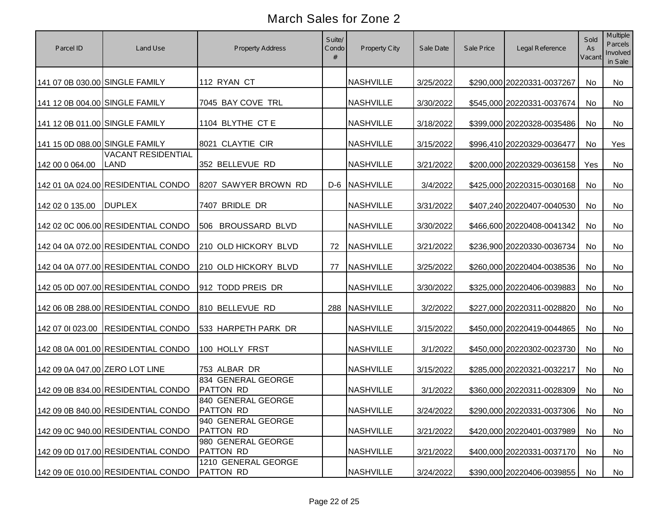| Parcel ID                      | Land Use                                 | Property Address                        | Suite/<br>Condo<br># | Property City    | Sale Date | Sale Price | Legal Reference               | Sold<br>As<br>Vacant | Multiple<br>Parcels<br>Involved<br>in Sale |
|--------------------------------|------------------------------------------|-----------------------------------------|----------------------|------------------|-----------|------------|-------------------------------|----------------------|--------------------------------------------|
| 141 07 0B 030.00 SINGLE FAMILY |                                          | 112 RYAN CT                             |                      | <b>NASHVILLE</b> | 3/25/2022 |            | \$290,000 20220331-0037267    | No                   | No                                         |
| 141 12 0B 004.00 SINGLE FAMILY |                                          | 7045 BAY COVE TRL                       |                      | <b>NASHVILLE</b> | 3/30/2022 |            | \$545,000 20220331-0037674    | No                   | No                                         |
| 141 12 0B 011.00 SINGLE FAMILY |                                          | 1104 BLYTHE CT E                        |                      | <b>NASHVILLE</b> | 3/18/2022 |            | \$399,000 20220328-0035486    | No                   | No                                         |
| 141 15 0D 088.00 SINGLE FAMILY |                                          | 8021 CLAYTIE CIR                        |                      | <b>NASHVILLE</b> | 3/15/2022 |            | \$996,410 20220329-0036477    | No                   | Yes                                        |
| 142 00 0 064.00                | <b>VACANT RESIDENTIAL</b><br><b>LAND</b> | 352 BELLEVUE RD                         |                      | <b>NASHVILLE</b> | 3/21/2022 |            | \$200,000 20220329-0036158    | Yes                  | No                                         |
|                                | 142 01 0A 024.00 RESIDENTIAL CONDO       | 8207 SAWYER BROWN RD                    |                      | D-6 NASHVILLE    | 3/4/2022  |            | \$425,000 20220315-0030168    | No                   | No                                         |
| 142 02 0 135.00                | <b>DUPLEX</b>                            | 7407 BRIDLE DR                          |                      | <b>NASHVILLE</b> | 3/31/2022 |            | \$407,240 20220407-0040530    | No                   | No                                         |
|                                | 142 02 0C 006.00 RESIDENTIAL CONDO       | 506 BROUSSARD BLVD                      |                      | <b>NASHVILLE</b> | 3/30/2022 |            | \$466,600 20220408-0041342    | No                   | No                                         |
|                                | 142 04 0A 072.00 RESIDENTIAL CONDO       | 210 OLD HICKORY BLVD                    | 72                   | <b>NASHVILLE</b> | 3/21/2022 |            | \$236,900 20220330-0036734    | No                   | No                                         |
|                                | 142 04 0A 077.00 RESIDENTIAL CONDO       | 210 OLD HICKORY BLVD                    | 77                   | <b>NASHVILLE</b> | 3/25/2022 |            | \$260,000 20220404-0038536    | No                   | No                                         |
|                                | 142 05 0D 007.00 RESIDENTIAL CONDO       | 912 TODD PREIS DR                       |                      | <b>NASHVILLE</b> | 3/30/2022 |            | \$325,000 20220406-0039883    | No                   | No                                         |
|                                | 142 06 0B 288.00 RESIDENTIAL CONDO       | 810 BELLEVUE RD                         |                      | 288 NASHVILLE    | 3/2/2022  |            | \$227,000 20220311-0028820    | No                   | <b>No</b>                                  |
|                                | 142 07 01 023.00 RESIDENTIAL CONDO       | 533 HARPETH PARK DR                     |                      | <b>NASHVILLE</b> | 3/15/2022 |            | \$450,000 20220419-0044865    | No                   | <b>No</b>                                  |
|                                | 142 08 0A 001.00 RESIDENTIAL CONDO       | 100 HOLLY FRST                          |                      | <b>NASHVILLE</b> | 3/1/2022  |            | \$450,000 20220302-0023730    | <b>No</b>            | <b>No</b>                                  |
| 142 09 0A 047.00 ZERO LOT LINE |                                          | 753 ALBAR DR                            |                      | <b>NASHVILLE</b> | 3/15/2022 |            | \$285,000 20220321-0032217    | No                   | No                                         |
|                                | 142 09 0B 834.00 RESIDENTIAL CONDO       | 834 GENERAL GEORGE<br><b>PATTON RD</b>  |                      | <b>NASHVILLE</b> | 3/1/2022  |            | \$360,000 20220311-0028309    | No                   | No                                         |
|                                | 142 09 0B 840.00 RESIDENTIAL CONDO       | 840 GENERAL GEORGE<br>PATTON RD         |                      | <b>NASHVILLE</b> | 3/24/2022 |            | \$290,000 20220331-0037306 No |                      | No                                         |
|                                | 142 09 0C 940.00 RESIDENTIAL CONDO       | 940 GENERAL GEORGE<br><b>PATTON RD</b>  |                      | <b>NASHVILLE</b> | 3/21/2022 |            | \$420,000 20220401-0037989    | No                   | No                                         |
|                                | 142 09 0D 017.00 RESIDENTIAL CONDO       | 980 GENERAL GEORGE<br><b>PATTON RD</b>  |                      | <b>NASHVILLE</b> | 3/21/2022 |            | \$400,000 20220331-0037170    | No                   | No                                         |
|                                | 142 09 0E 010.00 RESIDENTIAL CONDO       | 1210 GENERAL GEORGE<br><b>PATTON RD</b> |                      | <b>NASHVILLE</b> | 3/24/2022 |            | \$390,000 20220406-0039855    | No                   | No                                         |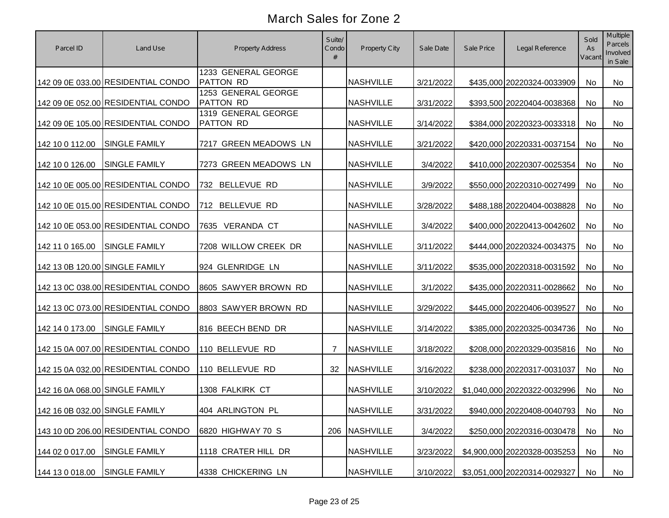| Parcel ID                      | Land Use                           | Property Address                        | Suite/<br>Condo<br># | Property City    | Sale Date | Sale Price | Legal Reference               | Sold<br>As<br>Vacant | Multiple<br>Parcels<br>Involved<br>in Sale |
|--------------------------------|------------------------------------|-----------------------------------------|----------------------|------------------|-----------|------------|-------------------------------|----------------------|--------------------------------------------|
|                                | 142 09 0E 033.00 RESIDENTIAL CONDO | 1233 GENERAL GEORGE<br><b>PATTON RD</b> |                      | <b>NASHVILLE</b> | 3/21/2022 |            | \$435,000 20220324-0033909    | No                   | No                                         |
|                                | 142 09 0E 052.00 RESIDENTIAL CONDO | 1253 GENERAL GEORGE<br><b>PATTON RD</b> |                      | <b>NASHVILLE</b> | 3/31/2022 |            | \$393,500 20220404-0038368    | No                   | No                                         |
|                                | 142 09 0E 105.00 RESIDENTIAL CONDO | 1319 GENERAL GEORGE<br><b>PATTON RD</b> |                      | <b>NASHVILLE</b> | 3/14/2022 |            | \$384,000 20220323-0033318    | No                   | No                                         |
| 142 10 0 112.00                | <b>SINGLE FAMILY</b>               | 7217 GREEN MEADOWS LN                   |                      | <b>NASHVILLE</b> | 3/21/2022 |            | \$420,000 20220331-0037154    | No                   | No                                         |
| 142 10 0 126.00                | <b>SINGLE FAMILY</b>               | 7273 GREEN MEADOWS LN                   |                      | <b>NASHVILLE</b> | 3/4/2022  |            | \$410,000 20220307-0025354    | No                   | No                                         |
|                                | 142 10 0E 005.00 RESIDENTIAL CONDO | 732 BELLEVUE RD                         |                      | <b>NASHVILLE</b> | 3/9/2022  |            | \$550,000 20220310-0027499    | No                   | No                                         |
|                                | 142 10 0E 015.00 RESIDENTIAL CONDO | 712 BELLEVUE RD                         |                      | <b>NASHVILLE</b> | 3/28/2022 |            | \$488,188 20220404-0038828    | No                   | No                                         |
|                                | 142 10 0E 053.00 RESIDENTIAL CONDO | 7635 VERANDA CT                         |                      | <b>NASHVILLE</b> | 3/4/2022  |            | \$400,000 20220413-0042602    | No                   | No                                         |
| 142 11 0 165.00                | <b>SINGLE FAMILY</b>               | 7208 WILLOW CREEK DR                    |                      | <b>NASHVILLE</b> | 3/11/2022 |            | \$444,000 20220324-0034375    | No                   | No                                         |
| 142 13 0B 120.00 SINGLE FAMILY |                                    | 924 GLENRIDGE LN                        |                      | <b>NASHVILLE</b> | 3/11/2022 |            | \$535,000 20220318-0031592    | No                   | No                                         |
|                                | 142 13 0C 038.00 RESIDENTIAL CONDO | 8605 SAWYER BROWN RD                    |                      | <b>NASHVILLE</b> | 3/1/2022  |            | \$435,000 20220311-0028662    | No                   | No                                         |
|                                | 142 13 0C 073.00 RESIDENTIAL CONDO | 8803 SAWYER BROWN RD                    |                      | <b>NASHVILLE</b> | 3/29/2022 |            | \$445,000 20220406-0039527    | No                   | No                                         |
| 142 14 0 173.00                | <b>SINGLE FAMILY</b>               | 816 BEECH BEND DR                       |                      | <b>NASHVILLE</b> | 3/14/2022 |            | \$385,000 20220325-0034736    | No                   | No                                         |
|                                | 142 15 0A 007.00 RESIDENTIAL CONDO | 110 BELLEVUE RD                         | $\overline{7}$       | <b>NASHVILLE</b> | 3/18/2022 |            | \$208,000 20220329-0035816    | No                   | <b>No</b>                                  |
|                                | 142 15 0A 032.00 RESIDENTIAL CONDO | 110 BELLEVUE RD                         | 32                   | <b>NASHVILLE</b> | 3/16/2022 |            | \$238,000 20220317-0031037    | No                   | No                                         |
| 142 16 0A 068.00 SINGLE FAMILY |                                    | 1308 FALKIRK CT                         |                      | <b>NASHVILLE</b> | 3/10/2022 |            | \$1,040,000 20220322-0032996  | <b>No</b>            | No                                         |
| 142 16 0B 032.00 SINGLE FAMILY |                                    | 404 ARLINGTON PL                        |                      | <b>NASHVILLE</b> | 3/31/2022 |            | \$940,000 20220408-0040793 No |                      | No                                         |
|                                | 143 10 0D 206.00 RESIDENTIAL CONDO | 6820 HIGHWAY 70 S                       | 206                  | <b>NASHVILLE</b> | 3/4/2022  |            | \$250,000 20220316-0030478    | No                   | No                                         |
| 144 02 0 017.00                | <b>SINGLE FAMILY</b>               | 1118 CRATER HILL DR                     |                      | <b>NASHVILLE</b> | 3/23/2022 |            | \$4,900,000 20220328-0035253  | No                   | No                                         |
| 144 13 0 018.00                | <b>SINGLE FAMILY</b>               | 4338 CHICKERING LN                      |                      | <b>NASHVILLE</b> | 3/10/2022 |            | \$3,051,000 20220314-0029327  | No                   | No                                         |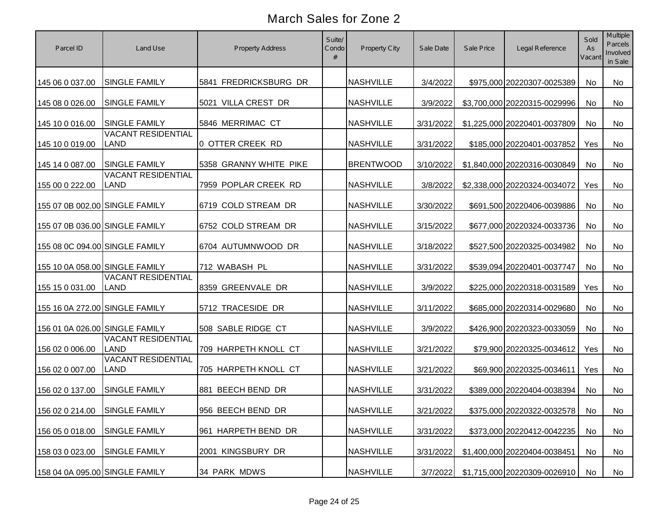| Parcel ID                      | Land Use                                 | <b>Property Address</b> | Suite/<br>Condo | Property City    | Sale Date | Sale Price | Legal Reference               | Sold<br>As<br>Vacant | Multiple<br>Parcels<br>Involved<br>in Sale |
|--------------------------------|------------------------------------------|-------------------------|-----------------|------------------|-----------|------------|-------------------------------|----------------------|--------------------------------------------|
| 145 06 0 037.00                | <b>SINGLE FAMILY</b>                     | 5841 FREDRICKSBURG DR   |                 | <b>NASHVILLE</b> | 3/4/2022  |            | \$975,000 20220307-0025389    | No                   | No                                         |
| 145 08 0 026.00                | <b>SINGLE FAMILY</b>                     | 5021 VILLA CREST DR     |                 | <b>NASHVILLE</b> | 3/9/2022  |            | \$3,700,000 20220315-0029996  | No                   | No                                         |
| 145 10 0 016.00                | <b>SINGLE FAMILY</b>                     | 5846 MERRIMAC CT        |                 | <b>NASHVILLE</b> | 3/31/2022 |            | \$1,225,000 20220401-0037809  | No                   | No                                         |
| 145 10 0 019.00                | <b>VACANT RESIDENTIAL</b><br><b>LAND</b> | 0 OTTER CREEK RD        |                 | <b>NASHVILLE</b> | 3/31/2022 |            | \$185,000 20220401-0037852    | Yes                  | No                                         |
| 145 14 0 087.00                | <b>SINGLE FAMILY</b>                     | 5358 GRANNY WHITE PIKE  |                 | <b>BRENTWOOD</b> | 3/10/2022 |            | \$1,840,000 20220316-0030849  | <b>No</b>            | No                                         |
| 155 00 0 222.00                | <b>VACANT RESIDENTIAL</b><br><b>LAND</b> | 7959 POPLAR CREEK RD    |                 | <b>NASHVILLE</b> | 3/8/2022  |            | \$2,338,000 20220324-0034072  | Yes                  | No                                         |
| 155 07 0B 002.00 SINGLE FAMILY |                                          | 6719 COLD STREAM DR     |                 | <b>NASHVILLE</b> | 3/30/2022 |            | \$691,500 20220406-0039886    | No                   | No                                         |
| 155 07 0B 036.00 SINGLE FAMILY |                                          | 6752 COLD STREAM DR     |                 | <b>NASHVILLE</b> | 3/15/2022 |            | \$677,000 20220324-0033736    | No                   | No                                         |
| 155 08 0C 094.00 SINGLE FAMILY |                                          | 6704 AUTUMNWOOD DR      |                 | <b>NASHVILLE</b> | 3/18/2022 |            | \$527,500 20220325-0034982    | No                   | No                                         |
| 155 10 0A 058.00 SINGLE FAMILY |                                          | 712 WABASH PL           |                 | <b>NASHVILLE</b> | 3/31/2022 |            | \$539,094 20220401-0037747    | No                   | No                                         |
| 155 15 0 031.00                | <b>VACANT RESIDENTIAL</b><br>LAND        | 8359 GREENVALE DR       |                 | <b>NASHVILLE</b> | 3/9/2022  |            | \$225,000 20220318-0031589    | Yes                  | No                                         |
| 155 16 0A 272.00 SINGLE FAMILY |                                          | 5712 TRACESIDE DR       |                 | <b>NASHVILLE</b> | 3/11/2022 |            | \$685,000 20220314-0029680    | No                   | No                                         |
| 156 01 0A 026.00 SINGLE FAMILY |                                          | 508 SABLE RIDGE CT      |                 | <b>NASHVILLE</b> | 3/9/2022  |            | \$426,900 20220323-0033059    | No                   | <b>No</b>                                  |
| 156 02 0 006.00                | <b>VACANT RESIDENTIAL</b><br><b>LAND</b> | 709 HARPETH KNOLL CT    |                 | <b>NASHVILLE</b> | 3/21/2022 |            | \$79,900 20220325-0034612     | Yes                  | <b>No</b>                                  |
| 156 02 0 007.00                | <b>VACANT RESIDENTIAL</b><br><b>LAND</b> | 705 HARPETH KNOLL CT    |                 | <b>NASHVILLE</b> | 3/21/2022 |            | \$69,900 20220325-0034611     | Yes                  | No                                         |
| 156 02 0 137.00                | <b>SINGLE FAMILY</b>                     | BEECH BEND DR<br>881    |                 | <b>NASHVILLE</b> | 3/31/2022 |            | \$389,000 20220404-0038394    | <b>No</b>            | No                                         |
| 156 02 0 214.00 SINGLE FAMILY  |                                          | 956 BEECH BEND DR       |                 | <b>NASHVILLE</b> | 3/21/2022 |            | \$375,000 20220322-0032578 No |                      | No                                         |
| 156 05 0 018.00                | <b>SINGLE FAMILY</b>                     | 961 HARPETH BEND DR     |                 | <b>NASHVILLE</b> | 3/31/2022 |            | \$373,000 20220412-0042235    | No                   | No                                         |
| 158 03 0 023.00                | <b>SINGLE FAMILY</b>                     | 2001 KINGSBURY DR       |                 | <b>NASHVILLE</b> | 3/31/2022 |            | \$1,400,000 20220404-0038451  | No                   | No                                         |
| 158 04 0A 095.00 SINGLE FAMILY |                                          | 34 PARK MDWS            |                 | <b>NASHVILLE</b> | 3/7/2022  |            | \$1,715,000 20220309-0026910  | No                   | No                                         |